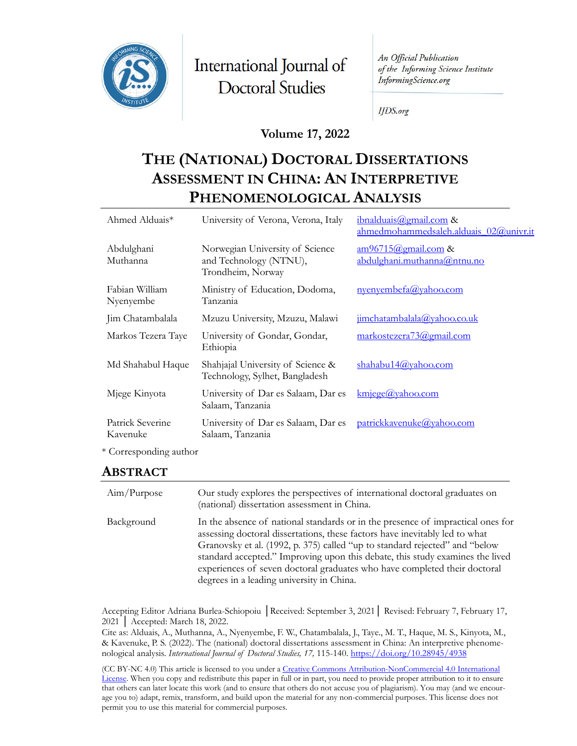

International Journal of **Doctoral Studies** 

An Official Publication of the Informing Science Institute InformingScience.org

**IJDS.org** 

#### **Volume 17, 2022**

# **THE (NATIONAL) DOCTORAL DISSERTATIONS ASSESSMENT IN CHINA: AN INTERPRETIVE PHENOMENOLOGICAL ANALYSIS**

| Ahmed Alduais <sup>*</sup>   | University of Verona, Verona, Italy                                            | $\frac{1}{2}$ ibnalduais (a) gmail.com &<br>ahmedmohammedsaleh.alduais 02@univr.it |
|------------------------------|--------------------------------------------------------------------------------|------------------------------------------------------------------------------------|
| Abdulghani<br>Muthanna       | Norwegian University of Science<br>and Technology (NTNU),<br>Trondheim, Norway | $am96715$ @gmail.com &<br>abdulghani.muthanna@ntnu.no                              |
| Fabian William<br>Nyenyembe  | Ministry of Education, Dodoma,<br>Tanzania                                     | nyenyembfa(a)yahoo.com                                                             |
| Jim Chatambalala             | Mzuzu University, Mzuzu, Malawi                                                | jimchatambalala@yahoo.co.uk                                                        |
| Markos Tezera Taye           | University of Gondar, Gondar,<br>Ethiopia                                      | markostezera73@gmail.com                                                           |
| Md Shahabul Haque            | Shahjajal University of Science &<br>Technology, Sylhet, Bangladesh            | shahabu14@yahoo.com                                                                |
| Mjege Kinyota                | University of Dar es Salaam, Dar es<br>Salaam, Tanzania                        | $km$ jege@yahoo.com                                                                |
| Patrick Severine<br>Kavenuke | University of Dar es Salaam, Dar es<br>Salaam, Tanzania                        | patrickkavenuke@yahoo.com                                                          |

\* Corresponding author

#### **ABSTRACT**

| Aim/Purpose | Our study explores the perspectives of international doctoral graduates on<br>(national) dissertation assessment in China.                                                                                                                                                                                                                                                                                                                               |
|-------------|----------------------------------------------------------------------------------------------------------------------------------------------------------------------------------------------------------------------------------------------------------------------------------------------------------------------------------------------------------------------------------------------------------------------------------------------------------|
| Background  | In the absence of national standards or in the presence of impractical ones for<br>assessing doctoral dissertations, these factors have inevitably led to what<br>Granovsky et al. (1992, p. 375) called "up to standard rejected" and "below<br>standard accepted." Improving upon this debate, this study examines the lived<br>experiences of seven doctoral graduates who have completed their doctoral<br>degrees in a leading university in China. |

Accepting Editor Adriana Burlea-Schiopoiu │Received: September 3, 2021│ Revised: February 7, February 17, 2021 │ Accepted: March 18, 2022.

Cite as: Alduais, A., Muthanna, A., Nyenyembe, F. W., Chatambalala, J., Taye., M. T., Haque, M. S., Kinyota, M., & Kavenuke, P. S. (2022). The (national) doctoral dissertations assessment in China: An interpretive phenomenological analysis. *International Journal of Doctoral Studies, 17,* 115-140.<https://doi.org/10.28945/4938>

(CC BY-NC 4.0) This article is licensed to you under a Creative Commons Attribution-[NonCommercial 4.0 International](https://creativecommons.org/licenses/by-nc/4.0/)  [Licen](https://creativecommons.org/licenses/by-nc/4.0/)se. When you copy and redistribute this paper in full or in part, you need to provide proper attribution to it to ensure that others can later locate this work (and to ensure that others do not accuse you of plagiarism). You may (and we encourage you to) adapt, remix, transform, and build upon the material for any non-commercial purposes. This license does not permit you to use this material for commercial purposes.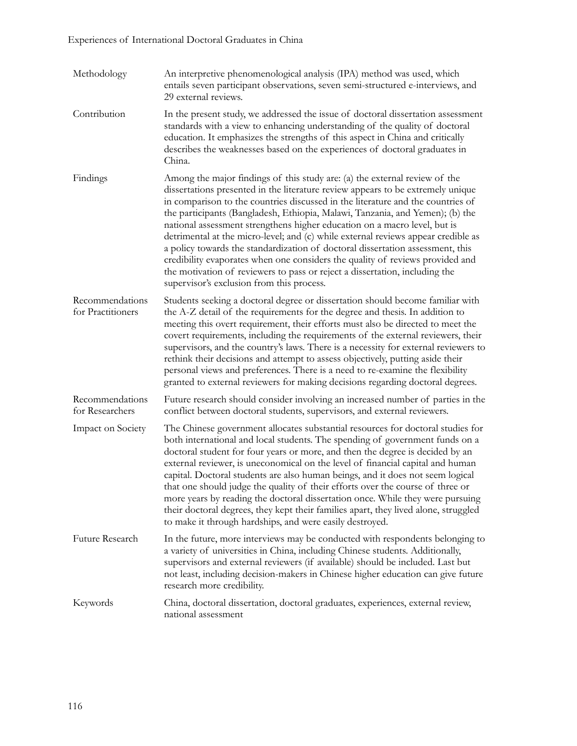| Methodology                          | An interpretive phenomenological analysis (IPA) method was used, which<br>entails seven participant observations, seven semi-structured e-interviews, and<br>29 external reviews.                                                                                                                                                                                                                                                                                                                                                                                                                                                                                                                                                                                                                  |
|--------------------------------------|----------------------------------------------------------------------------------------------------------------------------------------------------------------------------------------------------------------------------------------------------------------------------------------------------------------------------------------------------------------------------------------------------------------------------------------------------------------------------------------------------------------------------------------------------------------------------------------------------------------------------------------------------------------------------------------------------------------------------------------------------------------------------------------------------|
| Contribution                         | In the present study, we addressed the issue of doctoral dissertation assessment<br>standards with a view to enhancing understanding of the quality of doctoral<br>education. It emphasizes the strengths of this aspect in China and critically<br>describes the weaknesses based on the experiences of doctoral graduates in<br>China.                                                                                                                                                                                                                                                                                                                                                                                                                                                           |
| Findings                             | Among the major findings of this study are: (a) the external review of the<br>dissertations presented in the literature review appears to be extremely unique<br>in comparison to the countries discussed in the literature and the countries of<br>the participants (Bangladesh, Ethiopia, Malawi, Tanzania, and Yemen); (b) the<br>national assessment strengthens higher education on a macro level, but is<br>detrimental at the micro-level; and (c) while external reviews appear credible as<br>a policy towards the standardization of doctoral dissertation assessment, this<br>credibility evaporates when one considers the quality of reviews provided and<br>the motivation of reviewers to pass or reject a dissertation, including the<br>supervisor's exclusion from this process. |
| Recommendations<br>for Practitioners | Students seeking a doctoral degree or dissertation should become familiar with<br>the A-Z detail of the requirements for the degree and thesis. In addition to<br>meeting this overt requirement, their efforts must also be directed to meet the<br>covert requirements, including the requirements of the external reviewers, their<br>supervisors, and the country's laws. There is a necessity for external reviewers to<br>rethink their decisions and attempt to assess objectively, putting aside their<br>personal views and preferences. There is a need to re-examine the flexibility<br>granted to external reviewers for making decisions regarding doctoral degrees.                                                                                                                  |
| Recommendations<br>for Researchers   | Future research should consider involving an increased number of parties in the<br>conflict between doctoral students, supervisors, and external reviewers.                                                                                                                                                                                                                                                                                                                                                                                                                                                                                                                                                                                                                                        |
| Impact on Society                    | The Chinese government allocates substantial resources for doctoral studies for<br>both international and local students. The spending of government funds on a<br>doctoral student for four years or more, and then the degree is decided by an<br>external reviewer, is uneconomical on the level of financial capital and human<br>capital. Doctoral students are also human beings, and it does not seem logical<br>that one should judge the quality of their efforts over the course of three or<br>more years by reading the doctoral dissertation once. While they were pursuing<br>their doctoral degrees, they kept their families apart, they lived alone, struggled<br>to make it through hardships, and were easily destroyed.                                                        |
| Future Research                      | In the future, more interviews may be conducted with respondents belonging to<br>a variety of universities in China, including Chinese students. Additionally,<br>supervisors and external reviewers (if available) should be included. Last but<br>not least, including decision-makers in Chinese higher education can give future<br>research more credibility.                                                                                                                                                                                                                                                                                                                                                                                                                                 |
| Keywords                             | China, doctoral dissertation, doctoral graduates, experiences, external review,<br>national assessment                                                                                                                                                                                                                                                                                                                                                                                                                                                                                                                                                                                                                                                                                             |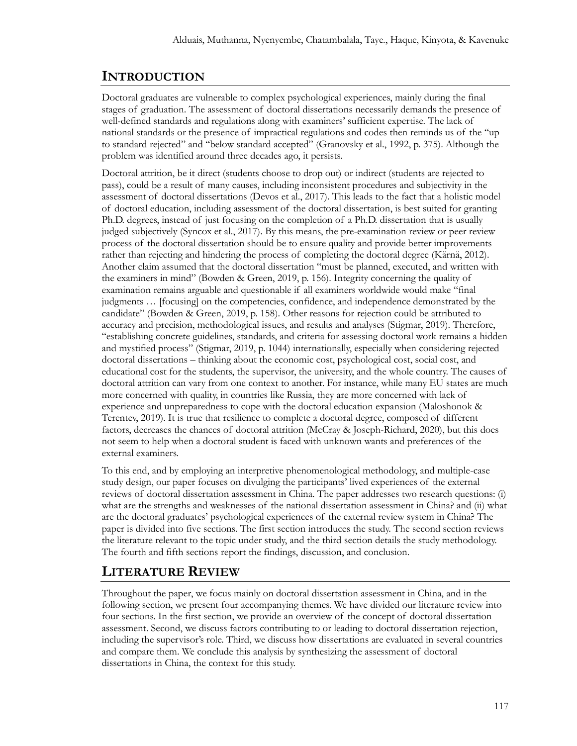# **INTRODUCTION**

Doctoral graduates are vulnerable to complex psychological experiences, mainly during the final stages of graduation. The assessment of doctoral dissertations necessarily demands the presence of well-defined standards and regulations along with examiners' sufficient expertise. The lack of national standards or the presence of impractical regulations and codes then reminds us of the "up to standard rejected" and "below standard accepted" (Granovsky et al., 1992, p. 375). Although the problem was identified around three decades ago, it persists.

Doctoral attrition, be it direct (students choose to drop out) or indirect (students are rejected to pass), could be a result of many causes, including inconsistent procedures and subjectivity in the assessment of doctoral dissertations (Devos et al., 2017). This leads to the fact that a holistic model of doctoral education, including assessment of the doctoral dissertation, is best suited for granting Ph.D. degrees, instead of just focusing on the completion of a Ph.D. dissertation that is usually judged subjectively (Syncox et al., 2017). By this means, the pre-examination review or peer review process of the doctoral dissertation should be to ensure quality and provide better improvements rather than rejecting and hindering the process of completing the doctoral degree (Kärnä, 2012). Another claim assumed that the doctoral dissertation "must be planned, executed, and written with the examiners in mind" (Bowden & Green, 2019, p. 156). Integrity concerning the quality of examination remains arguable and questionable if all examiners worldwide would make "final judgments … [focusing] on the competencies, confidence, and independence demonstrated by the candidate" (Bowden & Green, 2019, p. 158). Other reasons for rejection could be attributed to accuracy and precision, methodological issues, and results and analyses (Stigmar, 2019). Therefore, "establishing concrete guidelines, standards, and criteria for assessing doctoral work remains a hidden and mystified process" (Stigmar, 2019, p. 1044) internationally, especially when considering rejected doctoral dissertations – thinking about the economic cost, psychological cost, social cost, and educational cost for the students, the supervisor, the university, and the whole country. The causes of doctoral attrition can vary from one context to another. For instance, while many EU states are much more concerned with quality, in countries like Russia, they are more concerned with lack of experience and unpreparedness to cope with the doctoral education expansion (Maloshonok & Terentev, 2019). It is true that resilience to complete a doctoral degree, composed of different factors, decreases the chances of doctoral attrition (McCray & Joseph-Richard, 2020), but this does not seem to help when a doctoral student is faced with unknown wants and preferences of the external examiners.

To this end, and by employing an interpretive phenomenological methodology, and multiple-case study design, our paper focuses on divulging the participants' lived experiences of the external reviews of doctoral dissertation assessment in China. The paper addresses two research questions: (i) what are the strengths and weaknesses of the national dissertation assessment in China? and (ii) what are the doctoral graduates' psychological experiences of the external review system in China? The paper is divided into five sections. The first section introduces the study. The second section reviews the literature relevant to the topic under study, and the third section details the study methodology. The fourth and fifth sections report the findings, discussion, and conclusion.

# **LITERATURE REVIEW**

Throughout the paper, we focus mainly on doctoral dissertation assessment in China, and in the following section, we present four accompanying themes. We have divided our literature review into four sections. In the first section, we provide an overview of the concept of doctoral dissertation assessment. Second, we discuss factors contributing to or leading to doctoral dissertation rejection, including the supervisor's role. Third, we discuss how dissertations are evaluated in several countries and compare them. We conclude this analysis by synthesizing the assessment of doctoral dissertations in China, the context for this study.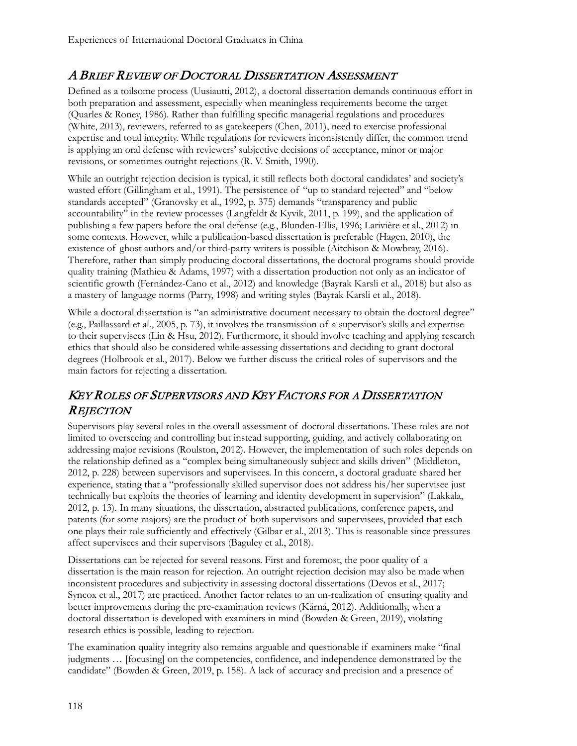# A BRIEF REVIEW OF DOCTORAL DISSERTATION ASSESSMENT

Defined as a toilsome process (Uusiautti, 2012), a doctoral dissertation demands continuous effort in both preparation and assessment, especially when meaningless requirements become the target (Quarles & Roney, 1986). Rather than fulfilling specific managerial regulations and procedures (White, 2013), reviewers, referred to as gatekeepers (Chen, 2011), need to exercise professional expertise and total integrity. While regulations for reviewers inconsistently differ, the common trend is applying an oral defense with reviewers' subjective decisions of acceptance, minor or major revisions, or sometimes outright rejections (R. V. Smith, 1990).

While an outright rejection decision is typical, it still reflects both doctoral candidates' and society's wasted effort (Gillingham et al., 1991). The persistence of "up to standard rejected" and "below standards accepted" (Granovsky et al., 1992, p. 375) demands "transparency and public accountability" in the review processes (Langfeldt & Kyvik, 2011, p. 199), and the application of publishing a few papers before the oral defense (e.g., Blunden-Ellis, 1996; Larivière et al., 2012) in some contexts. However, while a publication-based dissertation is preferable (Hagen, 2010), the existence of ghost authors and/or third-party writers is possible (Aitchison & Mowbray, 2016). Therefore, rather than simply producing doctoral dissertations, the doctoral programs should provide quality training (Mathieu & Adams, 1997) with a dissertation production not only as an indicator of scientific growth (Fernández-Cano et al., 2012) and knowledge (Bayrak Karsli et al., 2018) but also as a mastery of language norms (Parry, 1998) and writing styles (Bayrak Karsli et al., 2018).

While a doctoral dissertation is "an administrative document necessary to obtain the doctoral degree" (e.g., Paillassard et al., 2005, p. 73), it involves the transmission of a supervisor's skills and expertise to their supervisees (Lin & Hsu, 2012). Furthermore, it should involve teaching and applying research ethics that should also be considered while assessing dissertations and deciding to grant doctoral degrees (Holbrook et al., 2017). Below we further discuss the critical roles of supervisors and the main factors for rejecting a dissertation.

# KEY ROLES OF SUPERVISORS AND KEY FACTORS FOR A DISSERTATION **REJECTION**

Supervisors play several roles in the overall assessment of doctoral dissertations. These roles are not limited to overseeing and controlling but instead supporting, guiding, and actively collaborating on addressing major revisions (Roulston, 2012). However, the implementation of such roles depends on the relationship defined as a "complex being simultaneously subject and skills driven" (Middleton, 2012, p. 228) between supervisors and supervisees. In this concern, a doctoral graduate shared her experience, stating that a "professionally skilled supervisor does not address his/her supervisee just technically but exploits the theories of learning and identity development in supervision" (Lakkala, 2012, p. 13). In many situations, the dissertation, abstracted publications, conference papers, and patents (for some majors) are the product of both supervisors and supervisees, provided that each one plays their role sufficiently and effectively (Gilbar et al., 2013). This is reasonable since pressures affect supervisees and their supervisors (Baguley et al., 2018).

Dissertations can be rejected for several reasons. First and foremost, the poor quality of a dissertation is the main reason for rejection. An outright rejection decision may also be made when inconsistent procedures and subjectivity in assessing doctoral dissertations (Devos et al., 2017; Syncox et al., 2017) are practiced. Another factor relates to an un-realization of ensuring quality and better improvements during the pre-examination reviews (Kärnä, 2012). Additionally, when a doctoral dissertation is developed with examiners in mind (Bowden & Green, 2019), violating research ethics is possible, leading to rejection.

The examination quality integrity also remains arguable and questionable if examiners make "final judgments … [focusing] on the competencies, confidence, and independence demonstrated by the candidate" (Bowden & Green, 2019, p. 158). A lack of accuracy and precision and a presence of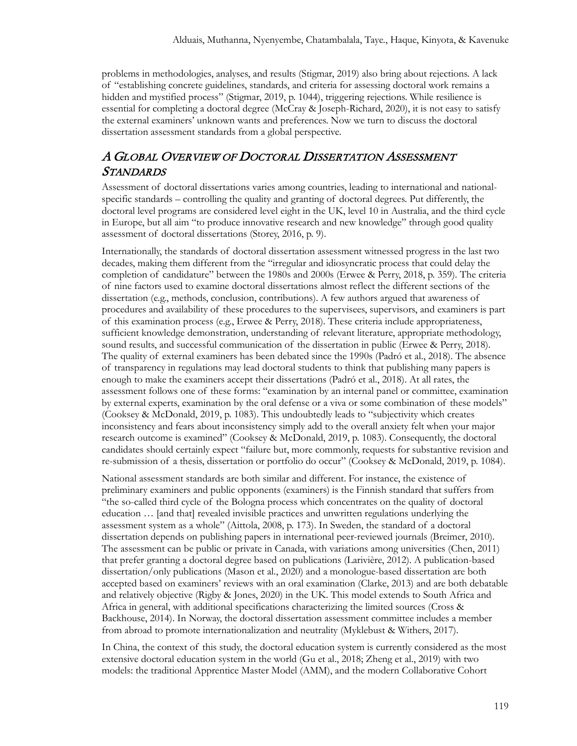problems in methodologies, analyses, and results (Stigmar, 2019) also bring about rejections. A lack of "establishing concrete guidelines, standards, and criteria for assessing doctoral work remains a hidden and mystified process" (Stigmar, 2019, p. 1044), triggering rejections. While resilience is essential for completing a doctoral degree (McCray & Joseph-Richard, 2020), it is not easy to satisfy the external examiners' unknown wants and preferences. Now we turn to discuss the doctoral dissertation assessment standards from a global perspective.

# A GLOBAL OVERVIEW OF DOCTORAL DISSERTATION ASSESSMENT **STANDARDS**

Assessment of doctoral dissertations varies among countries, leading to international and nationalspecific standards – controlling the quality and granting of doctoral degrees. Put differently, the doctoral level programs are considered level eight in the UK, level 10 in Australia, and the third cycle in Europe, but all aim "to produce innovative research and new knowledge" through good quality assessment of doctoral dissertations (Storey, 2016, p. 9).

Internationally, the standards of doctoral dissertation assessment witnessed progress in the last two decades, making them different from the "irregular and idiosyncratic process that could delay the completion of candidature" between the 1980s and 2000s (Erwee & Perry, 2018, p. 359). The criteria of nine factors used to examine doctoral dissertations almost reflect the different sections of the dissertation (e.g., methods, conclusion, contributions). A few authors argued that awareness of procedures and availability of these procedures to the supervisees, supervisors, and examiners is part of this examination process (e.g., Erwee & Perry, 2018). These criteria include appropriateness, sufficient knowledge demonstration, understanding of relevant literature, appropriate methodology, sound results, and successful communication of the dissertation in public (Erwee & Perry, 2018). The quality of external examiners has been debated since the 1990s (Padró et al., 2018). The absence of transparency in regulations may lead doctoral students to think that publishing many papers is enough to make the examiners accept their dissertations (Padró et al., 2018). At all rates, the assessment follows one of these forms: "examination by an internal panel or committee, examination by external experts, examination by the oral defense or a viva or some combination of these models" (Cooksey & McDonald, 2019, p. 1083). This undoubtedly leads to "subjectivity which creates inconsistency and fears about inconsistency simply add to the overall anxiety felt when your major research outcome is examined" (Cooksey & McDonald, 2019, p. 1083). Consequently, the doctoral candidates should certainly expect "failure but, more commonly, requests for substantive revision and re-submission of a thesis, dissertation or portfolio do occur" (Cooksey & McDonald, 2019, p. 1084).

National assessment standards are both similar and different. For instance, the existence of preliminary examiners and public opponents (examiners) is the Finnish standard that suffers from "the so-called third cycle of the Bologna process which concentrates on the quality of doctoral education … [and that] revealed invisible practices and unwritten regulations underlying the assessment system as a whole" (Aittola, 2008, p. 173). In Sweden, the standard of a doctoral dissertation depends on publishing papers in international peer-reviewed journals (Breimer, 2010). The assessment can be public or private in Canada, with variations among universities (Chen, 2011) that prefer granting a doctoral degree based on publications (Larivière, 2012). A publication-based dissertation/only publications (Mason et al., 2020) and a monologue-based dissertation are both accepted based on examiners' reviews with an oral examination (Clarke, 2013) and are both debatable and relatively objective (Rigby & Jones, 2020) in the UK. This model extends to South Africa and Africa in general, with additional specifications characterizing the limited sources (Cross & Backhouse, 2014). In Norway, the doctoral dissertation assessment committee includes a member from abroad to promote internationalization and neutrality (Myklebust & Withers, 2017).

In China, the context of this study, the doctoral education system is currently considered as the most extensive doctoral education system in the world (Gu et al., 2018; Zheng et al., 2019) with two models: the traditional Apprentice Master Model (AMM), and the modern Collaborative Cohort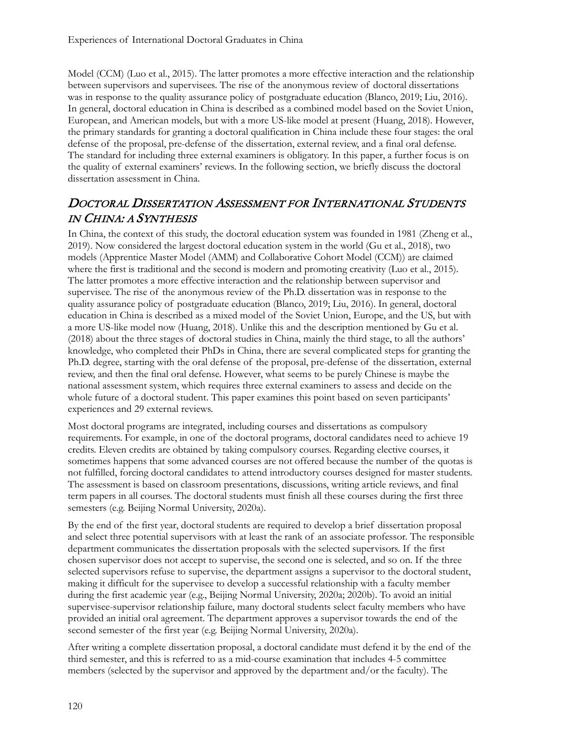Model (CCM) (Luo et al., 2015). The latter promotes a more effective interaction and the relationship between supervisors and supervisees. The rise of the anonymous review of doctoral dissertations was in response to the quality assurance policy of postgraduate education (Blanco, 2019; Liu, 2016). In general, doctoral education in China is described as a combined model based on the Soviet Union, European, and American models, but with a more US-like model at present (Huang, 2018). However, the primary standards for granting a doctoral qualification in China include these four stages: the oral defense of the proposal, pre-defense of the dissertation, external review, and a final oral defense. The standard for including three external examiners is obligatory. In this paper, a further focus is on the quality of external examiners' reviews. In the following section, we briefly discuss the doctoral dissertation assessment in China.

#### DOCTORAL DISSERTATION ASSESSMENT FOR INTERNATIONAL STUDENTS IN CHINA: A SYNTHESIS

In China, the context of this study, the doctoral education system was founded in 1981 (Zheng et al., 2019). Now considered the largest doctoral education system in the world (Gu et al., 2018), two models (Apprentice Master Model (AMM) and Collaborative Cohort Model (CCM)) are claimed where the first is traditional and the second is modern and promoting creativity (Luo et al., 2015). The latter promotes a more effective interaction and the relationship between supervisor and supervisee. The rise of the anonymous review of the Ph.D. dissertation was in response to the quality assurance policy of postgraduate education (Blanco, 2019; Liu, 2016). In general, doctoral education in China is described as a mixed model of the Soviet Union, Europe, and the US, but with a more US-like model now (Huang, 2018). Unlike this and the description mentioned by Gu et al. (2018) about the three stages of doctoral studies in China, mainly the third stage, to all the authors' knowledge, who completed their PhDs in China, there are several complicated steps for granting the Ph.D. degree, starting with the oral defense of the proposal, pre-defense of the dissertation, external review, and then the final oral defense. However, what seems to be purely Chinese is maybe the national assessment system, which requires three external examiners to assess and decide on the whole future of a doctoral student. This paper examines this point based on seven participants' experiences and 29 external reviews.

Most doctoral programs are integrated, including courses and dissertations as compulsory requirements. For example, in one of the doctoral programs, doctoral candidates need to achieve 19 credits. Eleven credits are obtained by taking compulsory courses. Regarding elective courses, it sometimes happens that some advanced courses are not offered because the number of the quotas is not fulfilled, forcing doctoral candidates to attend introductory courses designed for master students. The assessment is based on classroom presentations, discussions, writing article reviews, and final term papers in all courses. The doctoral students must finish all these courses during the first three semesters (e.g. Beijing Normal University, 2020a).

By the end of the first year, doctoral students are required to develop a brief dissertation proposal and select three potential supervisors with at least the rank of an associate professor. The responsible department communicates the dissertation proposals with the selected supervisors. If the first chosen supervisor does not accept to supervise, the second one is selected, and so on. If the three selected supervisors refuse to supervise, the department assigns a supervisor to the doctoral student, making it difficult for the supervisee to develop a successful relationship with a faculty member during the first academic year (e.g., Beijing Normal University, 2020a; 2020b). To avoid an initial supervisee-supervisor relationship failure, many doctoral students select faculty members who have provided an initial oral agreement. The department approves a supervisor towards the end of the second semester of the first year (e.g. Beijing Normal University, 2020a).

After writing a complete dissertation proposal, a doctoral candidate must defend it by the end of the third semester, and this is referred to as a mid-course examination that includes 4-5 committee members (selected by the supervisor and approved by the department and/or the faculty). The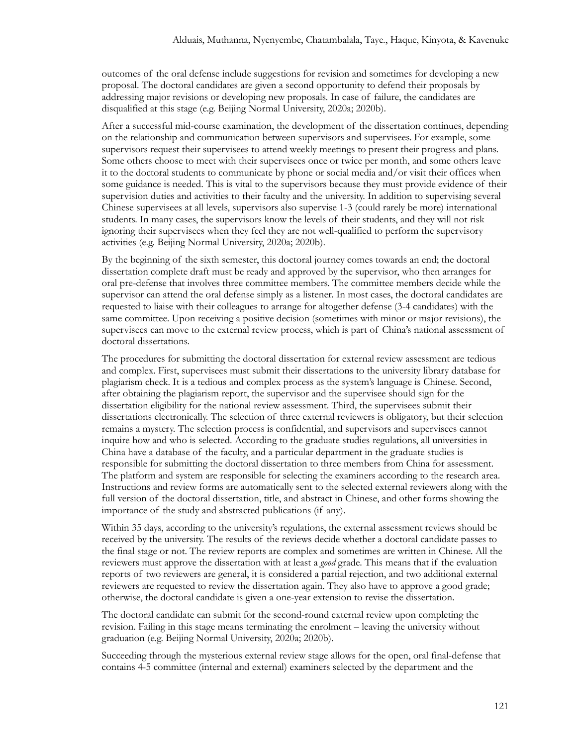outcomes of the oral defense include suggestions for revision and sometimes for developing a new proposal. The doctoral candidates are given a second opportunity to defend their proposals by addressing major revisions or developing new proposals. In case of failure, the candidates are disqualified at this stage (e.g. Beijing Normal University, 2020a; 2020b).

After a successful mid-course examination, the development of the dissertation continues, depending on the relationship and communication between supervisors and supervisees. For example, some supervisors request their supervisees to attend weekly meetings to present their progress and plans. Some others choose to meet with their supervisees once or twice per month, and some others leave it to the doctoral students to communicate by phone or social media and/or visit their offices when some guidance is needed. This is vital to the supervisors because they must provide evidence of their supervision duties and activities to their faculty and the university. In addition to supervising several Chinese supervisees at all levels, supervisors also supervise 1-3 (could rarely be more) international students. In many cases, the supervisors know the levels of their students, and they will not risk ignoring their supervisees when they feel they are not well-qualified to perform the supervisory activities (e.g. Beijing Normal University, 2020a; 2020b).

By the beginning of the sixth semester, this doctoral journey comes towards an end; the doctoral dissertation complete draft must be ready and approved by the supervisor, who then arranges for oral pre-defense that involves three committee members. The committee members decide while the supervisor can attend the oral defense simply as a listener. In most cases, the doctoral candidates are requested to liaise with their colleagues to arrange for altogether defense (3-4 candidates) with the same committee. Upon receiving a positive decision (sometimes with minor or major revisions), the supervisees can move to the external review process, which is part of China's national assessment of doctoral dissertations.

The procedures for submitting the doctoral dissertation for external review assessment are tedious and complex. First, supervisees must submit their dissertations to the university library database for plagiarism check. It is a tedious and complex process as the system's language is Chinese. Second, after obtaining the plagiarism report, the supervisor and the supervisee should sign for the dissertation eligibility for the national review assessment. Third, the supervisees submit their dissertations electronically. The selection of three external reviewers is obligatory, but their selection remains a mystery. The selection process is confidential, and supervisors and supervisees cannot inquire how and who is selected. According to the graduate studies regulations, all universities in China have a database of the faculty, and a particular department in the graduate studies is responsible for submitting the doctoral dissertation to three members from China for assessment. The platform and system are responsible for selecting the examiners according to the research area. Instructions and review forms are automatically sent to the selected external reviewers along with the full version of the doctoral dissertation, title, and abstract in Chinese, and other forms showing the importance of the study and abstracted publications (if any).

Within 35 days, according to the university's regulations, the external assessment reviews should be received by the university. The results of the reviews decide whether a doctoral candidate passes to the final stage or not. The review reports are complex and sometimes are written in Chinese. All the reviewers must approve the dissertation with at least a *good* grade. This means that if the evaluation reports of two reviewers are general, it is considered a partial rejection, and two additional external reviewers are requested to review the dissertation again. They also have to approve a good grade; otherwise, the doctoral candidate is given a one-year extension to revise the dissertation.

The doctoral candidate can submit for the second-round external review upon completing the revision. Failing in this stage means terminating the enrolment – leaving the university without graduation (e.g. Beijing Normal University, 2020a; 2020b).

Succeeding through the mysterious external review stage allows for the open, oral final-defense that contains 4-5 committee (internal and external) examiners selected by the department and the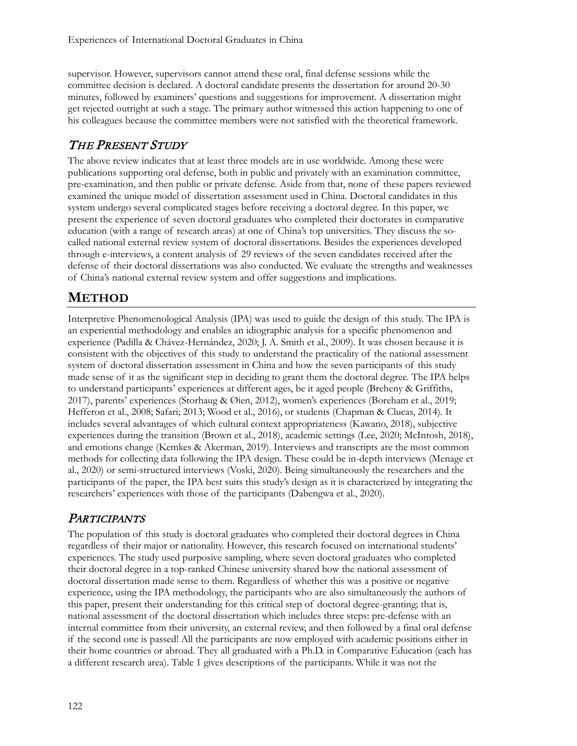supervisor. However, supervisors cannot attend these oral, final defense sessions while the committee decision is declared. A doctoral candidate presents the dissertation for around 20-30 minutes, followed by examiners' questions and suggestions for improvement. A dissertation might get rejected outright at such a stage. The primary author witnessed this action happening to one of his colleagues because the committee members were not satisfied with the theoretical framework.

# THE PRESENT STUDY

The above review indicates that at least three models are in use worldwide. Among these were publications supporting oral defense, both in public and privately with an examination committee, pre-examination, and then public or private defense. Aside from that, none of these papers reviewed examined the unique model of dissertation assessment used in China. Doctoral candidates in this system undergo several complicated stages before receiving a doctoral degree. In this paper, we present the experience of seven doctoral graduates who completed their doctorates in comparative education (with a range of research areas) at one of China's top universities. They discuss the socalled national external review system of doctoral dissertations. Besides the experiences developed through e-interviews, a content analysis of 29 reviews of the seven candidates received after the defense of their doctoral dissertations was also conducted. We evaluate the strengths and weaknesses of China's national external review system and offer suggestions and implications.

# **METHOD**

Interpretive Phenomenological Analysis (IPA) was used to guide the design of this study. The IPA is an experiential methodology and enables an idiographic analysis for a specific phenomenon and experience (Padilla & Chávez-Hernández, 2020; J. A. Smith et al., 2009). It was chosen because it is consistent with the objectives of this study to understand the practicality of the national assessment system of doctoral dissertation assessment in China and how the seven participants of this study made sense of it as the significant step in deciding to grant them the doctoral degree. The IPA helps to understand participants' experiences at different ages, be it aged people (Breheny & Griffiths, 2017), parents' experiences (Storhaug & Øien, 2012), women's experiences (Boreham et al., 2019; Hefferon et al., 2008; Safari; 2013; Wood et al., 2016), or students (Chapman & Clucas, 2014). It includes several advantages of which cultural context appropriateness (Kawano, 2018), subjective experiences during the transition (Brown et al., 2018), academic settings (Lee, 2020; McIntosh, 2018), and emotions change (Kemkes & Akerman, 2019). Interviews and transcripts are the most common methods for collecting data following the IPA design. These could be in-depth interviews (Menage et al., 2020) or semi-structured interviews (Voski, 2020). Being simultaneously the researchers and the participants of the paper, the IPA best suits this study's design as it is characterized by integrating the researchers' experiences with those of the participants (Dabengwa et al., 2020).

# **PARTICIPANTS**

The population of this study is doctoral graduates who completed their doctoral degrees in China regardless of their major or nationality. However, this research focused on international students' experiences. The study used purposive sampling, where seven doctoral graduates who completed their doctoral degree in a top-ranked Chinese university shared how the national assessment of doctoral dissertation made sense to them. Regardless of whether this was a positive or negative experience, using the IPA methodology, the participants who are also simultaneously the authors of this paper, present their understanding for this critical step of doctoral degree-granting; that is, national assessment of the doctoral dissertation which includes three steps: pre-defense with an internal committee from their university, an external review, and then followed by a final oral defense if the second one is passed! All the participants are now employed with academic positions either in their home countries or abroad. They all graduated with a Ph.D. in Comparative Education (each has a different research area). Table 1 gives descriptions of the participants. While it was not the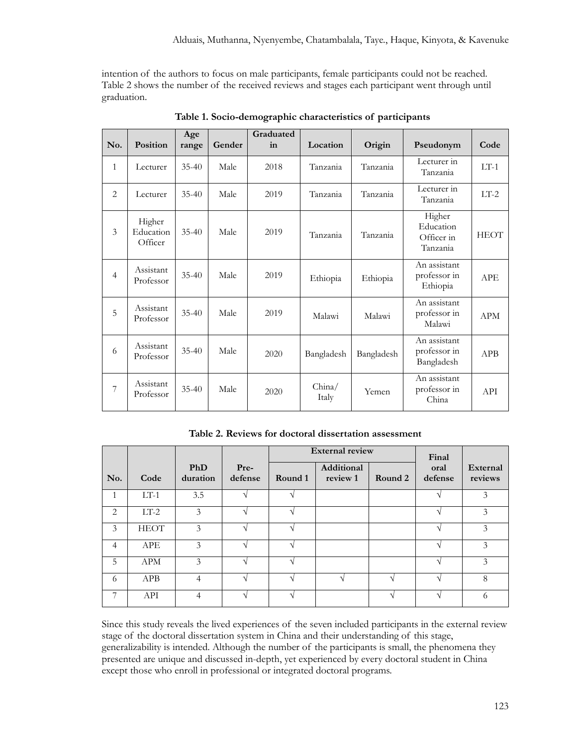intention of the authors to focus on male participants, female participants could not be reached. Table 2 shows the number of the received reviews and stages each participant went through until graduation.

| No.            | Position                       | Age<br>range | Gender | Graduated<br>in | Location        | Origin     | Pseudonym                                     | Code        |
|----------------|--------------------------------|--------------|--------|-----------------|-----------------|------------|-----------------------------------------------|-------------|
| $\mathbf{1}$   | Lecturer                       | $35 - 40$    | Male   | 2018            | Tanzania        | Tanzania   | Lecturer in<br>Tanzania                       | $LT-1$      |
| 2              | Lecturer                       | $35 - 40$    | Male   | 2019            | Tanzania        | Tanzania   | Lecturer in<br>Tanzania                       | $LT-2$      |
| 3              | Higher<br>Education<br>Officer | $35 - 40$    | Male   | 2019            | Tanzania        | Tanzania   | Higher<br>Education<br>Officer in<br>Tanzania | <b>HEOT</b> |
| $\overline{4}$ | Assistant<br>Professor         | $35 - 40$    | Male   | 2019            | Ethiopia        | Ethiopia   | An assistant<br>professor in<br>Ethiopia      | <b>APE</b>  |
| 5              | Assistant<br>Professor         | $35 - 40$    | Male   | 2019            | Malawi          | Malawi     | An assistant<br>professor in<br>Malawi        | <b>APM</b>  |
| 6              | Assistant<br>Professor         | $35 - 40$    | Male   | 2020            | Bangladesh      | Bangladesh | An assistant<br>professor in<br>Bangladesh    | APB         |
| 7              | Assistant<br>Professor         | $35 - 40$    | Male   | 2020            | China/<br>Italy | Yemen      | An assistant<br>professor in<br>China         | API         |

**Table 1. Socio-demographic characteristics of participants** 

|  |  |  | Table 2. Reviews for doctoral dissertation assessment |  |
|--|--|--|-------------------------------------------------------|--|
|--|--|--|-------------------------------------------------------|--|

|                |             |                 | <b>External review</b> |         |                        | Final   |                 |                     |
|----------------|-------------|-----------------|------------------------|---------|------------------------|---------|-----------------|---------------------|
| No.            | Code        | PhD<br>duration | Pre-<br>defense        | Round 1 | Additional<br>review 1 | Round 2 | oral<br>defense | External<br>reviews |
| $\mathbf{1}$   | $LT-1$      | 3.5             | ٦                      |         |                        |         |                 | 3                   |
| 2              | $LT-2$      | 3               | 4                      |         |                        |         |                 | 3                   |
| 3              | <b>HEOT</b> | 3               | $\mathbf{A}$           |         |                        |         | ٦Ι              | 3                   |
| $\overline{4}$ | <b>APE</b>  | 3               |                        |         |                        |         |                 | 3                   |
| 5              | <b>APM</b>  | 3               |                        |         |                        |         |                 | 3                   |
| 6              | APB         | $\overline{4}$  | ٦                      |         | ٦                      |         |                 | 8                   |
| 7              | API         | $\overline{4}$  | A.                     |         |                        |         | ٦Ι              | 6                   |

Since this study reveals the lived experiences of the seven included participants in the external review stage of the doctoral dissertation system in China and their understanding of this stage, generalizability is intended. Although the number of the participants is small, the phenomena they presented are unique and discussed in-depth, yet experienced by every doctoral student in China except those who enroll in professional or integrated doctoral programs.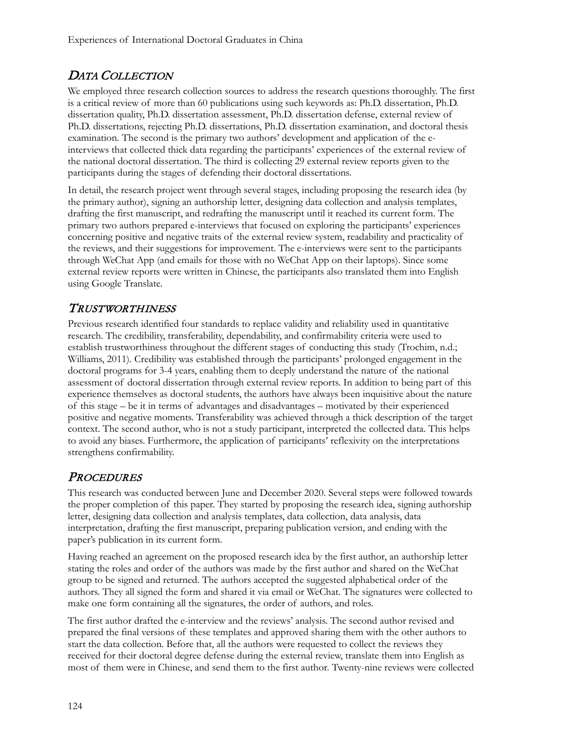# DATA COLLECTION

We employed three research collection sources to address the research questions thoroughly. The first is a critical review of more than 60 publications using such keywords as: Ph.D. dissertation, Ph.D. dissertation quality, Ph.D. dissertation assessment, Ph.D. dissertation defense, external review of Ph.D. dissertations, rejecting Ph.D. dissertations, Ph.D. dissertation examination, and doctoral thesis examination. The second is the primary two authors' development and application of the einterviews that collected thick data regarding the participants' experiences of the external review of the national doctoral dissertation. The third is collecting 29 external review reports given to the participants during the stages of defending their doctoral dissertations.

In detail, the research project went through several stages, including proposing the research idea (by the primary author), signing an authorship letter, designing data collection and analysis templates, drafting the first manuscript, and redrafting the manuscript until it reached its current form. The primary two authors prepared e-interviews that focused on exploring the participants' experiences concerning positive and negative traits of the external review system, readability and practicality of the reviews, and their suggestions for improvement. The e-interviews were sent to the participants through WeChat App (and emails for those with no WeChat App on their laptops). Since some external review reports were written in Chinese, the participants also translated them into English using Google Translate.

#### TRUSTWORTHINESS

Previous research identified four standards to replace validity and reliability used in quantitative research. The credibility, transferability, dependability, and confirmability criteria were used to establish trustworthiness throughout the different stages of conducting this study (Trochim, n.d.; Williams, 2011). Credibility was established through the participants' prolonged engagement in the doctoral programs for 3-4 years, enabling them to deeply understand the nature of the national assessment of doctoral dissertation through external review reports. In addition to being part of this experience themselves as doctoral students, the authors have always been inquisitive about the nature of this stage – be it in terms of advantages and disadvantages – motivated by their experienced positive and negative moments. Transferability was achieved through a thick description of the target context. The second author, who is not a study participant, interpreted the collected data. This helps to avoid any biases. Furthermore, the application of participants' reflexivity on the interpretations strengthens confirmability.

# **PROCEDURES**

This research was conducted between June and December 2020. Several steps were followed towards the proper completion of this paper. They started by proposing the research idea, signing authorship letter, designing data collection and analysis templates, data collection, data analysis, data interpretation, drafting the first manuscript, preparing publication version, and ending with the paper's publication in its current form.

Having reached an agreement on the proposed research idea by the first author, an authorship letter stating the roles and order of the authors was made by the first author and shared on the WeChat group to be signed and returned. The authors accepted the suggested alphabetical order of the authors. They all signed the form and shared it via email or WeChat. The signatures were collected to make one form containing all the signatures, the order of authors, and roles.

The first author drafted the e-interview and the reviews' analysis. The second author revised and prepared the final versions of these templates and approved sharing them with the other authors to start the data collection. Before that, all the authors were requested to collect the reviews they received for their doctoral degree defense during the external review, translate them into English as most of them were in Chinese, and send them to the first author. Twenty-nine reviews were collected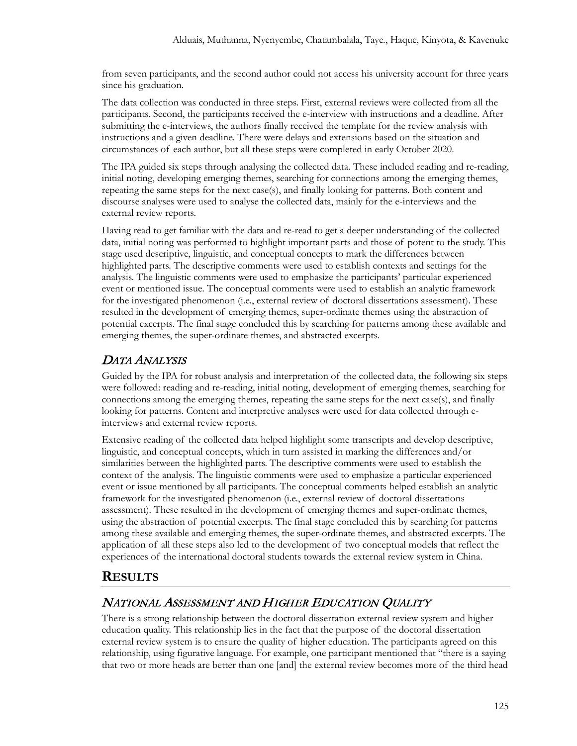from seven participants, and the second author could not access his university account for three years since his graduation.

The data collection was conducted in three steps. First, external reviews were collected from all the participants. Second, the participants received the e-interview with instructions and a deadline. After submitting the e-interviews, the authors finally received the template for the review analysis with instructions and a given deadline. There were delays and extensions based on the situation and circumstances of each author, but all these steps were completed in early October 2020.

The IPA guided six steps through analysing the collected data. These included reading and re-reading, initial noting, developing emerging themes, searching for connections among the emerging themes, repeating the same steps for the next case(s), and finally looking for patterns. Both content and discourse analyses were used to analyse the collected data, mainly for the e-interviews and the external review reports.

Having read to get familiar with the data and re-read to get a deeper understanding of the collected data, initial noting was performed to highlight important parts and those of potent to the study. This stage used descriptive, linguistic, and conceptual concepts to mark the differences between highlighted parts. The descriptive comments were used to establish contexts and settings for the analysis. The linguistic comments were used to emphasize the participants' particular experienced event or mentioned issue. The conceptual comments were used to establish an analytic framework for the investigated phenomenon (i.e., external review of doctoral dissertations assessment). These resulted in the development of emerging themes, super-ordinate themes using the abstraction of potential excerpts. The final stage concluded this by searching for patterns among these available and emerging themes, the super-ordinate themes, and abstracted excerpts.

# DATA ANALYSIS

Guided by the IPA for robust analysis and interpretation of the collected data, the following six steps were followed: reading and re-reading, initial noting, development of emerging themes, searching for connections among the emerging themes, repeating the same steps for the next case(s), and finally looking for patterns. Content and interpretive analyses were used for data collected through einterviews and external review reports.

Extensive reading of the collected data helped highlight some transcripts and develop descriptive, linguistic, and conceptual concepts, which in turn assisted in marking the differences and/or similarities between the highlighted parts. The descriptive comments were used to establish the context of the analysis. The linguistic comments were used to emphasize a particular experienced event or issue mentioned by all participants. The conceptual comments helped establish an analytic framework for the investigated phenomenon (i.e., external review of doctoral dissertations assessment). These resulted in the development of emerging themes and super-ordinate themes, using the abstraction of potential excerpts. The final stage concluded this by searching for patterns among these available and emerging themes, the super-ordinate themes, and abstracted excerpts. The application of all these steps also led to the development of two conceptual models that reflect the experiences of the international doctoral students towards the external review system in China.

# **RESULTS**

# NATIONAL ASSESSMENT AND HIGHER EDUCATION QUALITY

There is a strong relationship between the doctoral dissertation external review system and higher education quality. This relationship lies in the fact that the purpose of the doctoral dissertation external review system is to ensure the quality of higher education. The participants agreed on this relationship, using figurative language. For example, one participant mentioned that "there is a saying that two or more heads are better than one [and] the external review becomes more of the third head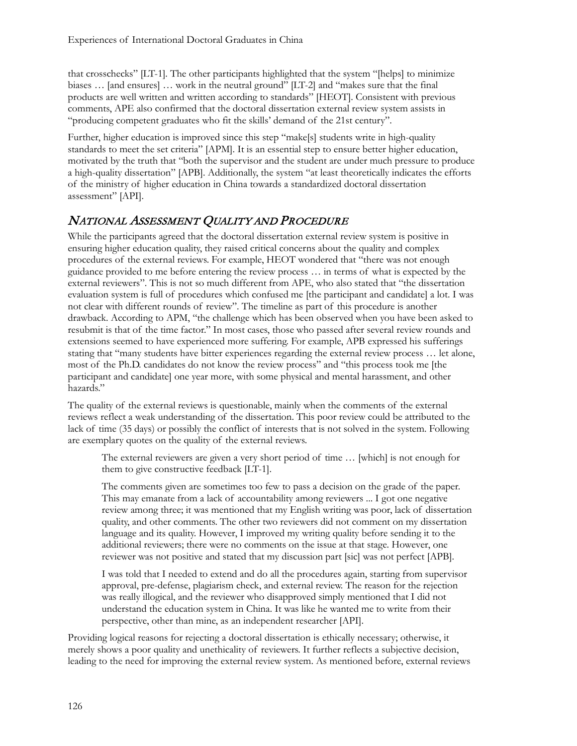that crosschecks" [LT-1]. The other participants highlighted that the system "[helps] to minimize biases … [and ensures] … work in the neutral ground" [LT-2] and "makes sure that the final products are well written and written according to standards" [HEOT]. Consistent with previous comments, APE also confirmed that the doctoral dissertation external review system assists in "producing competent graduates who fit the skills' demand of the 21st century".

Further, higher education is improved since this step "make[s] students write in high-quality standards to meet the set criteria" [APM]. It is an essential step to ensure better higher education, motivated by the truth that "both the supervisor and the student are under much pressure to produce a high-quality dissertation" [APB]. Additionally, the system "at least theoretically indicates the efforts of the ministry of higher education in China towards a standardized doctoral dissertation assessment" [API].

#### NATIONAL ASSESSMENT QUALITY AND PROCEDURE

While the participants agreed that the doctoral dissertation external review system is positive in ensuring higher education quality, they raised critical concerns about the quality and complex procedures of the external reviews. For example, HEOT wondered that "there was not enough guidance provided to me before entering the review process … in terms of what is expected by the external reviewers". This is not so much different from APE, who also stated that "the dissertation evaluation system is full of procedures which confused me [the participant and candidate] a lot. I was not clear with different rounds of review". The timeline as part of this procedure is another drawback. According to APM, "the challenge which has been observed when you have been asked to resubmit is that of the time factor." In most cases, those who passed after several review rounds and extensions seemed to have experienced more suffering. For example, APB expressed his sufferings stating that "many students have bitter experiences regarding the external review process … let alone, most of the Ph.D. candidates do not know the review process" and "this process took me [the participant and candidate] one year more, with some physical and mental harassment, and other hazards."

The quality of the external reviews is questionable, mainly when the comments of the external reviews reflect a weak understanding of the dissertation. This poor review could be attributed to the lack of time (35 days) or possibly the conflict of interests that is not solved in the system. Following are exemplary quotes on the quality of the external reviews.

The external reviewers are given a very short period of time … [which] is not enough for them to give constructive feedback [LT-1].

The comments given are sometimes too few to pass a decision on the grade of the paper. This may emanate from a lack of accountability among reviewers ... I got one negative review among three; it was mentioned that my English writing was poor, lack of dissertation quality, and other comments. The other two reviewers did not comment on my dissertation language and its quality. However, I improved my writing quality before sending it to the additional reviewers; there were no comments on the issue at that stage. However, one reviewer was not positive and stated that my discussion part [sic] was not perfect [APB].

I was told that I needed to extend and do all the procedures again, starting from supervisor approval, pre-defense, plagiarism check, and external review. The reason for the rejection was really illogical, and the reviewer who disapproved simply mentioned that I did not understand the education system in China. It was like he wanted me to write from their perspective, other than mine, as an independent researcher [API].

Providing logical reasons for rejecting a doctoral dissertation is ethically necessary; otherwise, it merely shows a poor quality and unethicality of reviewers. It further reflects a subjective decision, leading to the need for improving the external review system. As mentioned before, external reviews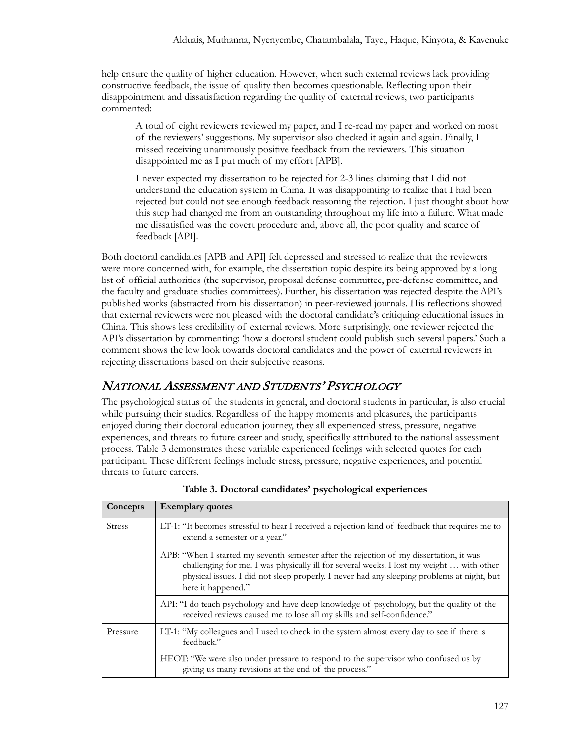help ensure the quality of higher education. However, when such external reviews lack providing constructive feedback, the issue of quality then becomes questionable. Reflecting upon their disappointment and dissatisfaction regarding the quality of external reviews, two participants commented:

A total of eight reviewers reviewed my paper, and I re-read my paper and worked on most of the reviewers' suggestions. My supervisor also checked it again and again. Finally, I missed receiving unanimously positive feedback from the reviewers. This situation disappointed me as I put much of my effort [APB].

I never expected my dissertation to be rejected for 2-3 lines claiming that I did not understand the education system in China. It was disappointing to realize that I had been rejected but could not see enough feedback reasoning the rejection. I just thought about how this step had changed me from an outstanding throughout my life into a failure. What made me dissatisfied was the covert procedure and, above all, the poor quality and scarce of feedback [API].

Both doctoral candidates [APB and API] felt depressed and stressed to realize that the reviewers were more concerned with, for example, the dissertation topic despite its being approved by a long list of official authorities (the supervisor, proposal defense committee, pre-defense committee, and the faculty and graduate studies committees). Further, his dissertation was rejected despite the API's published works (abstracted from his dissertation) in peer-reviewed journals. His reflections showed that external reviewers were not pleased with the doctoral candidate's critiquing educational issues in China. This shows less credibility of external reviews. More surprisingly, one reviewer rejected the API's dissertation by commenting: 'how a doctoral student could publish such several papers.' Such a comment shows the low look towards doctoral candidates and the power of external reviewers in rejecting dissertations based on their subjective reasons.

# NATIONAL ASSESSMENT AND STUDENTS' PSYCHOLOGY

The psychological status of the students in general, and doctoral students in particular, is also crucial while pursuing their studies. Regardless of the happy moments and pleasures, the participants enjoyed during their doctoral education journey, they all experienced stress, pressure, negative experiences, and threats to future career and study, specifically attributed to the national assessment process. Table 3 demonstrates these variable experienced feelings with selected quotes for each participant. These different feelings include stress, pressure, negative experiences, and potential threats to future careers.

| Concepts      | <b>Exemplary quotes</b>                                                                                                                                                                                                                                                                                 |
|---------------|---------------------------------------------------------------------------------------------------------------------------------------------------------------------------------------------------------------------------------------------------------------------------------------------------------|
| <b>Stress</b> | LT-1: "It becomes stressful to hear I received a rejection kind of feedback that requires me to<br>extend a semester or a year."                                                                                                                                                                        |
|               | APB: "When I started my seventh semester after the rejection of my dissertation, it was<br>challenging for me. I was physically ill for several weeks. I lost my weight  with other<br>physical issues. I did not sleep properly. I never had any sleeping problems at night, but<br>here it happened." |
|               | API: "I do teach psychology and have deep knowledge of psychology, but the quality of the<br>received reviews caused me to lose all my skills and self-confidence."                                                                                                                                     |
| Pressure      | LT-1: "My colleagues and I used to check in the system almost every day to see if there is<br>feedback."                                                                                                                                                                                                |
|               | HEOT: "We were also under pressure to respond to the supervisor who confused us by<br>giving us many revisions at the end of the process."                                                                                                                                                              |

**Table 3. Doctoral candidates' psychological experiences**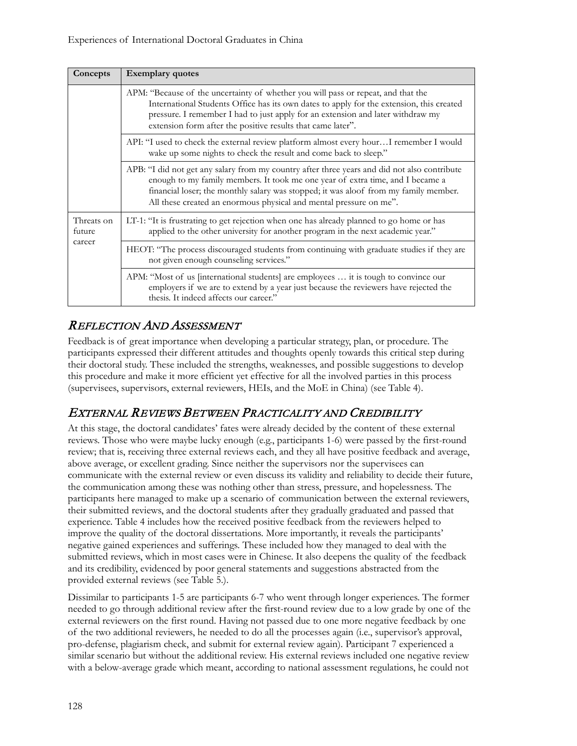| Concepts                       | <b>Exemplary</b> quotes                                                                                                                                                                                                                                                                                                                      |
|--------------------------------|----------------------------------------------------------------------------------------------------------------------------------------------------------------------------------------------------------------------------------------------------------------------------------------------------------------------------------------------|
|                                | APM: "Because of the uncertainty of whether you will pass or repeat, and that the<br>International Students Office has its own dates to apply for the extension, this created<br>pressure. I remember I had to just apply for an extension and later withdraw my<br>extension form after the positive results that came later".              |
|                                | API: "I used to check the external review platform almost every hourI remember I would<br>wake up some nights to check the result and come back to sleep."                                                                                                                                                                                   |
|                                | APB: "I did not get any salary from my country after three years and did not also contribute<br>enough to my family members. It took me one year of extra time, and I became a<br>financial loser; the monthly salary was stopped; it was aloof from my family member.<br>All these created an enormous physical and mental pressure on me". |
| Threats on<br>future<br>career | LT-1: "It is frustrating to get rejection when one has already planned to go home or has<br>applied to the other university for another program in the next academic year."                                                                                                                                                                  |
|                                | HEOT: "The process discouraged students from continuing with graduate studies if they are<br>not given enough counseling services."                                                                                                                                                                                                          |
|                                | APM: "Most of us [international students] are employees  it is tough to convince our<br>employers if we are to extend by a year just because the reviewers have rejected the<br>thesis. It indeed affects our career."                                                                                                                       |

# REFLECTION AND ASSESSMENT

Feedback is of great importance when developing a particular strategy, plan, or procedure. The participants expressed their different attitudes and thoughts openly towards this critical step during their doctoral study. These included the strengths, weaknesses, and possible suggestions to develop this procedure and make it more efficient yet effective for all the involved parties in this process (supervisees, supervisors, external reviewers, HEIs, and the MoE in China) (see Table 4).

# EXTERNAL REVIEWS BETWEEN PRACTICALITY AND CREDIBILITY

At this stage, the doctoral candidates' fates were already decided by the content of these external reviews. Those who were maybe lucky enough (e.g., participants 1-6) were passed by the first-round review; that is, receiving three external reviews each, and they all have positive feedback and average, above average, or excellent grading. Since neither the supervisors nor the supervisees can communicate with the external review or even discuss its validity and reliability to decide their future, the communication among these was nothing other than stress, pressure, and hopelessness. The participants here managed to make up a scenario of communication between the external reviewers, their submitted reviews, and the doctoral students after they gradually graduated and passed that experience. Table 4 includes how the received positive feedback from the reviewers helped to improve the quality of the doctoral dissertations. More importantly, it reveals the participants' negative gained experiences and sufferings. These included how they managed to deal with the submitted reviews, which in most cases were in Chinese. It also deepens the quality of the feedback and its credibility, evidenced by poor general statements and suggestions abstracted from the provided external reviews (see Table 5.).

Dissimilar to participants 1-5 are participants 6-7 who went through longer experiences. The former needed to go through additional review after the first-round review due to a low grade by one of the external reviewers on the first round. Having not passed due to one more negative feedback by one of the two additional reviewers, he needed to do all the processes again (i.e., supervisor's approval, pro-defense, plagiarism check, and submit for external review again). Participant 7 experienced a similar scenario but without the additional review. His external reviews included one negative review with a below-average grade which meant, according to national assessment regulations, he could not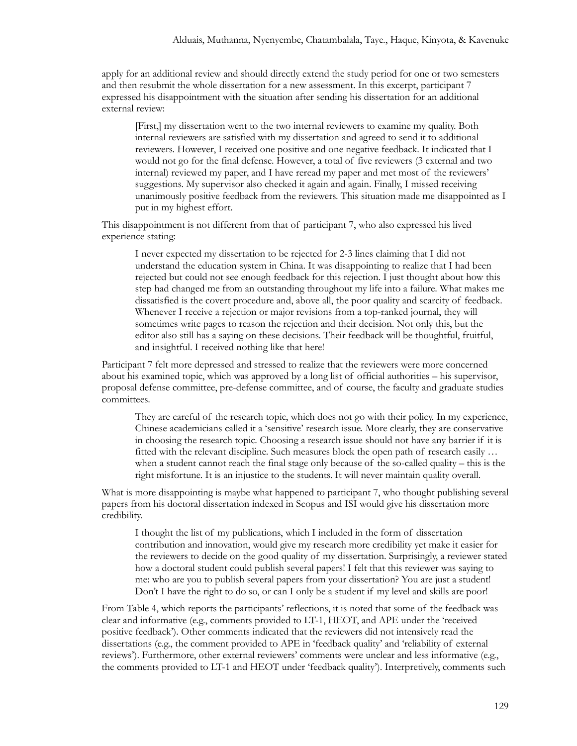apply for an additional review and should directly extend the study period for one or two semesters and then resubmit the whole dissertation for a new assessment. In this excerpt, participant 7 expressed his disappointment with the situation after sending his dissertation for an additional external review:

[First,] my dissertation went to the two internal reviewers to examine my quality. Both internal reviewers are satisfied with my dissertation and agreed to send it to additional reviewers. However, I received one positive and one negative feedback. It indicated that I would not go for the final defense. However, a total of five reviewers (3 external and two internal) reviewed my paper, and I have reread my paper and met most of the reviewers' suggestions. My supervisor also checked it again and again. Finally, I missed receiving unanimously positive feedback from the reviewers. This situation made me disappointed as I put in my highest effort.

This disappointment is not different from that of participant 7, who also expressed his lived experience stating:

I never expected my dissertation to be rejected for 2-3 lines claiming that I did not understand the education system in China. It was disappointing to realize that I had been rejected but could not see enough feedback for this rejection. I just thought about how this step had changed me from an outstanding throughout my life into a failure. What makes me dissatisfied is the covert procedure and, above all, the poor quality and scarcity of feedback. Whenever I receive a rejection or major revisions from a top-ranked journal, they will sometimes write pages to reason the rejection and their decision. Not only this, but the editor also still has a saying on these decisions. Their feedback will be thoughtful, fruitful, and insightful. I received nothing like that here!

Participant 7 felt more depressed and stressed to realize that the reviewers were more concerned about his examined topic, which was approved by a long list of official authorities – his supervisor, proposal defense committee, pre-defense committee, and of course, the faculty and graduate studies committees.

They are careful of the research topic, which does not go with their policy. In my experience, Chinese academicians called it a 'sensitive' research issue. More clearly, they are conservative in choosing the research topic. Choosing a research issue should not have any barrier if it is fitted with the relevant discipline. Such measures block the open path of research easily … when a student cannot reach the final stage only because of the so-called quality – this is the right misfortune. It is an injustice to the students. It will never maintain quality overall.

What is more disappointing is maybe what happened to participant 7, who thought publishing several papers from his doctoral dissertation indexed in Scopus and ISI would give his dissertation more credibility.

I thought the list of my publications, which I included in the form of dissertation contribution and innovation, would give my research more credibility yet make it easier for the reviewers to decide on the good quality of my dissertation. Surprisingly, a reviewer stated how a doctoral student could publish several papers! I felt that this reviewer was saying to me: who are you to publish several papers from your dissertation? You are just a student! Don't I have the right to do so, or can I only be a student if my level and skills are poor!

From Table 4, which reports the participants' reflections, it is noted that some of the feedback was clear and informative (e.g., comments provided to LT-1, HEOT, and APE under the 'received positive feedback'). Other comments indicated that the reviewers did not intensively read the dissertations (e.g., the comment provided to APE in 'feedback quality' and 'reliability of external reviews'). Furthermore, other external reviewers' comments were unclear and less informative (e.g., the comments provided to LT-1 and HEOT under 'feedback quality'). Interpretively, comments such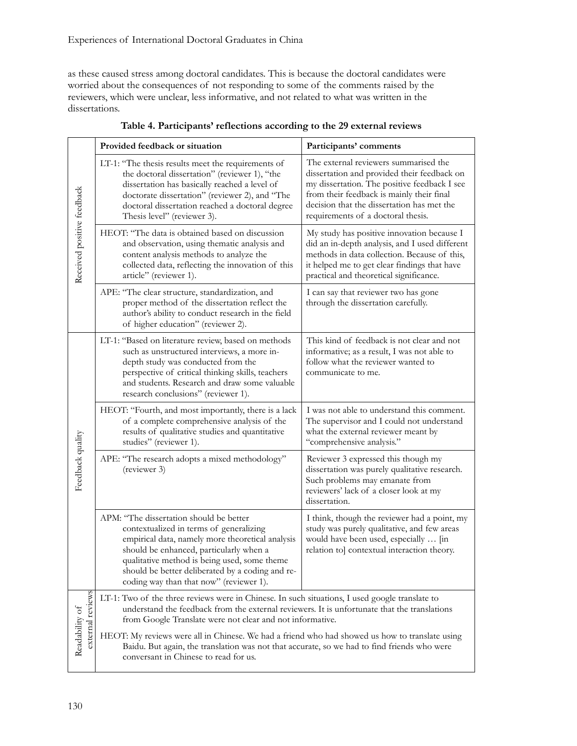as these caused stress among doctoral candidates. This is because the doctoral candidates were worried about the consequences of not responding to some of the comments raised by the reviewers, which were unclear, less informative, and not related to what was written in the dissertations.

|                                    | Provided feedback or situation                                                                                                                                                                                                                                                                                                                                | Participants' comments                                                                                                                                                                                                                                                |  |
|------------------------------------|---------------------------------------------------------------------------------------------------------------------------------------------------------------------------------------------------------------------------------------------------------------------------------------------------------------------------------------------------------------|-----------------------------------------------------------------------------------------------------------------------------------------------------------------------------------------------------------------------------------------------------------------------|--|
| Received positive feedback         | LT-1: "The thesis results meet the requirements of<br>the doctoral dissertation" (reviewer 1), "the<br>dissertation has basically reached a level of<br>doctorate dissertation" (reviewer 2), and "The<br>doctoral dissertation reached a doctoral degree<br>Thesis level" (reviewer 3).                                                                      | The external reviewers summarised the<br>dissertation and provided their feedback on<br>my dissertation. The positive feedback I see<br>from their feedback is mainly their final<br>decision that the dissertation has met the<br>requirements of a doctoral thesis. |  |
|                                    | HEOT: "The data is obtained based on discussion<br>and observation, using thematic analysis and<br>content analysis methods to analyze the<br>collected data, reflecting the innovation of this<br>article" (reviewer 1).                                                                                                                                     | My study has positive innovation because I<br>did an in-depth analysis, and I used different<br>methods in data collection. Because of this,<br>it helped me to get clear findings that have<br>practical and theoretical significance.                               |  |
|                                    | APE: "The clear structure, standardization, and<br>proper method of the dissertation reflect the<br>author's ability to conduct research in the field<br>of higher education" (reviewer 2).                                                                                                                                                                   | I can say that reviewer two has gone<br>through the dissertation carefully.                                                                                                                                                                                           |  |
| Feedback quality                   | LT-1: "Based on literature review, based on methods<br>such as unstructured interviews, a more in-<br>depth study was conducted from the<br>perspective of critical thinking skills, teachers<br>and students. Research and draw some valuable<br>research conclusions" (reviewer 1).                                                                         | This kind of feedback is not clear and not<br>informative; as a result, I was not able to<br>follow what the reviewer wanted to<br>communicate to me.                                                                                                                 |  |
|                                    | HEOT: "Fourth, and most importantly, there is a lack<br>of a complete comprehensive analysis of the<br>results of qualitative studies and quantitative<br>studies" (reviewer 1).                                                                                                                                                                              | I was not able to understand this comment.<br>The supervisor and I could not understand<br>what the external reviewer meant by<br>"comprehensive analysis."                                                                                                           |  |
|                                    | APE: "The research adopts a mixed methodology"<br>(reviewer 3)                                                                                                                                                                                                                                                                                                | Reviewer 3 expressed this though my<br>dissertation was purely qualitative research.<br>Such problems may emanate from<br>reviewers' lack of a closer look at my<br>dissertation.                                                                                     |  |
|                                    | APM: "The dissertation should be better<br>contextualized in terms of generalizing<br>empirical data, namely more theoretical analysis<br>should be enhanced, particularly when a<br>qualitative method is being used, some theme<br>should be better deliberated by a coding and re-<br>coding way than that now" (reviewer 1).                              | I think, though the reviewer had a point, my<br>study was purely qualitative, and few areas<br>would have been used, especially  [in<br>relation to] contextual interaction theory.                                                                                   |  |
| external review:<br>Readability of | LT-1: Two of the three reviews were in Chinese. In such situations, I used google translate to<br>understand the feedback from the external reviewers. It is unfortunate that the translations<br>from Google Translate were not clear and not informative.<br>HEOT: My reviews were all in Chinese. We had a friend who had showed us how to translate using |                                                                                                                                                                                                                                                                       |  |
|                                    | Baidu. But again, the translation was not that accurate, so we had to find friends who were<br>conversant in Chinese to read for us.                                                                                                                                                                                                                          |                                                                                                                                                                                                                                                                       |  |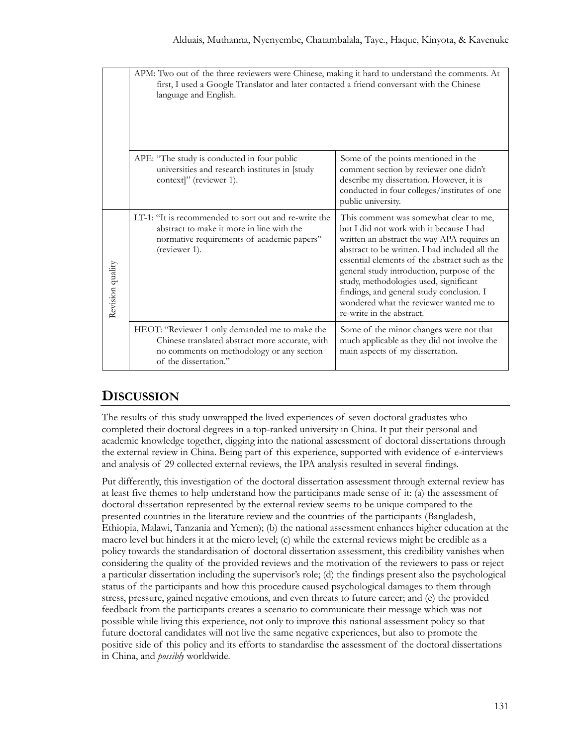|                  | APM: Two out of the three reviewers were Chinese, making it hard to understand the comments. At<br>first, I used a Google Translator and later contacted a friend conversant with the Chinese<br>language and English. |                                                                                                                                                                                                                                                                                                                                                                                                                                                    |  |  |  |
|------------------|------------------------------------------------------------------------------------------------------------------------------------------------------------------------------------------------------------------------|----------------------------------------------------------------------------------------------------------------------------------------------------------------------------------------------------------------------------------------------------------------------------------------------------------------------------------------------------------------------------------------------------------------------------------------------------|--|--|--|
|                  | APE: "The study is conducted in four public<br>universities and research institutes in [study<br>context]" (reviewer 1).                                                                                               | Some of the points mentioned in the<br>comment section by reviewer one didn't<br>describe my dissertation. However, it is<br>conducted in four colleges/institutes of one<br>public university.                                                                                                                                                                                                                                                    |  |  |  |
| Revision quality | LT-1: "It is recommended to sort out and re-write the<br>abstract to make it more in line with the<br>normative requirements of academic papers"<br>(reviewer 1).                                                      | This comment was somewhat clear to me,<br>but I did not work with it because I had<br>written an abstract the way APA requires an<br>abstract to be written. I had included all the<br>essential elements of the abstract such as the<br>general study introduction, purpose of the<br>study, methodologies used, significant<br>findings, and general study conclusion. I<br>wondered what the reviewer wanted me to<br>re-write in the abstract. |  |  |  |
|                  | HEOT: "Reviewer 1 only demanded me to make the<br>Chinese translated abstract more accurate, with<br>no comments on methodology or any section<br>of the dissertation."                                                | Some of the minor changes were not that<br>much applicable as they did not involve the<br>main aspects of my dissertation.                                                                                                                                                                                                                                                                                                                         |  |  |  |

# **DISCUSSION**

The results of this study unwrapped the lived experiences of seven doctoral graduates who completed their doctoral degrees in a top-ranked university in China. It put their personal and academic knowledge together, digging into the national assessment of doctoral dissertations through the external review in China. Being part of this experience, supported with evidence of e-interviews and analysis of 29 collected external reviews, the IPA analysis resulted in several findings.

Put differently, this investigation of the doctoral dissertation assessment through external review has at least five themes to help understand how the participants made sense of it: (a) the assessment of doctoral dissertation represented by the external review seems to be unique compared to the presented countries in the literature review and the countries of the participants (Bangladesh, Ethiopia, Malawi, Tanzania and Yemen); (b) the national assessment enhances higher education at the macro level but hinders it at the micro level; (c) while the external reviews might be credible as a policy towards the standardisation of doctoral dissertation assessment, this credibility vanishes when considering the quality of the provided reviews and the motivation of the reviewers to pass or reject a particular dissertation including the supervisor's role; (d) the findings present also the psychological status of the participants and how this procedure caused psychological damages to them through stress, pressure, gained negative emotions, and even threats to future career; and (e) the provided feedback from the participants creates a scenario to communicate their message which was not possible while living this experience, not only to improve this national assessment policy so that future doctoral candidates will not live the same negative experiences, but also to promote the positive side of this policy and its efforts to standardise the assessment of the doctoral dissertations in China, and *possibly* worldwide.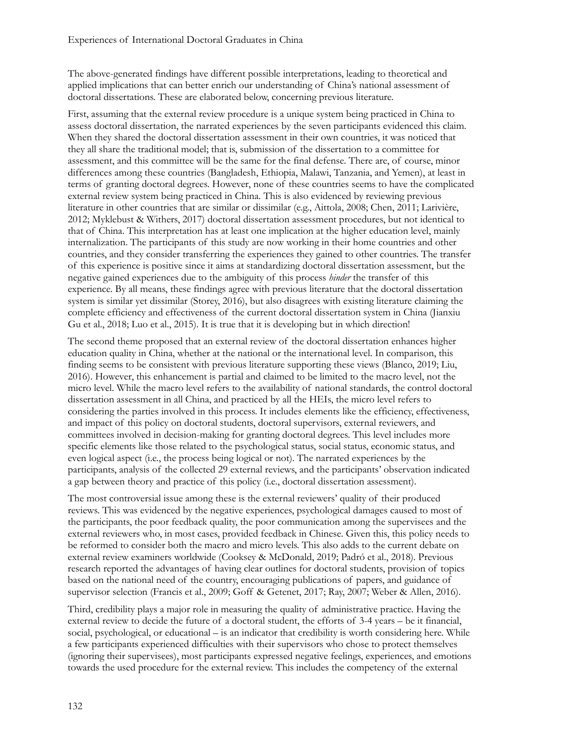The above-generated findings have different possible interpretations, leading to theoretical and applied implications that can better enrich our understanding of China's national assessment of doctoral dissertations. These are elaborated below, concerning previous literature.

First, assuming that the external review procedure is a unique system being practiced in China to assess doctoral dissertation, the narrated experiences by the seven participants evidenced this claim. When they shared the doctoral dissertation assessment in their own countries, it was noticed that they all share the traditional model; that is, submission of the dissertation to a committee for assessment, and this committee will be the same for the final defense. There are, of course, minor differences among these countries (Bangladesh, Ethiopia, Malawi, Tanzania, and Yemen), at least in terms of granting doctoral degrees. However, none of these countries seems to have the complicated external review system being practiced in China. This is also evidenced by reviewing previous literature in other countries that are similar or dissimilar (e.g., Aittola, 2008; Chen, 2011; Larivière, 2012; Myklebust & Withers, 2017) doctoral dissertation assessment procedures, but not identical to that of China. This interpretation has at least one implication at the higher education level, mainly internalization. The participants of this study are now working in their home countries and other countries, and they consider transferring the experiences they gained to other countries. The transfer of this experience is positive since it aims at standardizing doctoral dissertation assessment, but the negative gained experiences due to the ambiguity of this process *hinder* the transfer of this experience. By all means, these findings agree with previous literature that the doctoral dissertation system is similar yet dissimilar (Storey, 2016), but also disagrees with existing literature claiming the complete efficiency and effectiveness of the current doctoral dissertation system in China (Jianxiu Gu et al., 2018; Luo et al., 2015). It is true that it is developing but in which direction!

The second theme proposed that an external review of the doctoral dissertation enhances higher education quality in China, whether at the national or the international level. In comparison, this finding seems to be consistent with previous literature supporting these views (Blanco, 2019; Liu, 2016). However, this enhancement is partial and claimed to be limited to the macro level, not the micro level. While the macro level refers to the availability of national standards, the control doctoral dissertation assessment in all China, and practiced by all the HEIs, the micro level refers to considering the parties involved in this process. It includes elements like the efficiency, effectiveness, and impact of this policy on doctoral students, doctoral supervisors, external reviewers, and committees involved in decision-making for granting doctoral degrees. This level includes more specific elements like those related to the psychological status, social status, economic status, and even logical aspect (i.e., the process being logical or not). The narrated experiences by the participants, analysis of the collected 29 external reviews, and the participants' observation indicated a gap between theory and practice of this policy (i.e., doctoral dissertation assessment).

The most controversial issue among these is the external reviewers' quality of their produced reviews. This was evidenced by the negative experiences, psychological damages caused to most of the participants, the poor feedback quality, the poor communication among the supervisees and the external reviewers who, in most cases, provided feedback in Chinese. Given this, this policy needs to be reformed to consider both the macro and micro levels. This also adds to the current debate on external review examiners worldwide (Cooksey & McDonald, 2019; Padró et al., 2018). Previous research reported the advantages of having clear outlines for doctoral students, provision of topics based on the national need of the country, encouraging publications of papers, and guidance of supervisor selection (Francis et al., 2009; Goff & Getenet, 2017; Ray, 2007; Weber & Allen, 2016).

Third, credibility plays a major role in measuring the quality of administrative practice. Having the external review to decide the future of a doctoral student, the efforts of 3-4 years – be it financial, social, psychological, or educational – is an indicator that credibility is worth considering here. While a few participants experienced difficulties with their supervisors who chose to protect themselves (ignoring their supervisees), most participants expressed negative feelings, experiences, and emotions towards the used procedure for the external review. This includes the competency of the external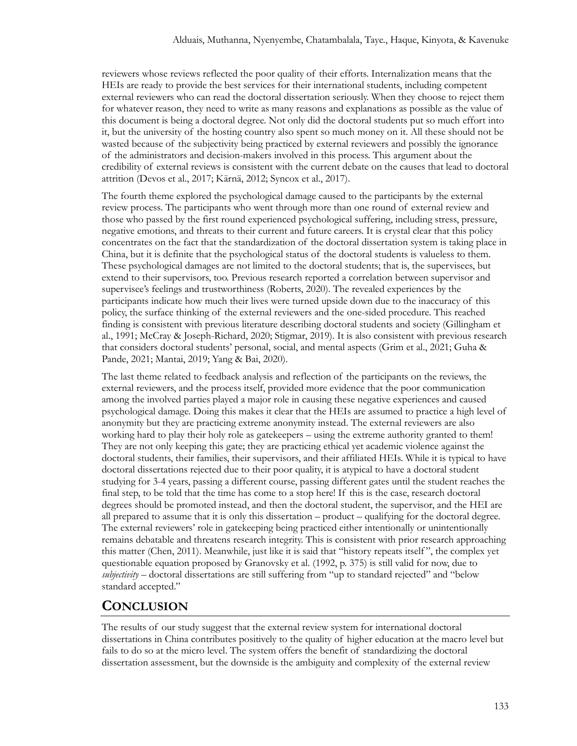reviewers whose reviews reflected the poor quality of their efforts. Internalization means that the HEIs are ready to provide the best services for their international students, including competent external reviewers who can read the doctoral dissertation seriously. When they choose to reject them for whatever reason, they need to write as many reasons and explanations as possible as the value of this document is being a doctoral degree. Not only did the doctoral students put so much effort into it, but the university of the hosting country also spent so much money on it. All these should not be wasted because of the subjectivity being practiced by external reviewers and possibly the ignorance of the administrators and decision-makers involved in this process. This argument about the credibility of external reviews is consistent with the current debate on the causes that lead to doctoral attrition (Devos et al., 2017; Kärnä, 2012; Syncox et al., 2017).

The fourth theme explored the psychological damage caused to the participants by the external review process. The participants who went through more than one round of external review and those who passed by the first round experienced psychological suffering, including stress, pressure, negative emotions, and threats to their current and future careers. It is crystal clear that this policy concentrates on the fact that the standardization of the doctoral dissertation system is taking place in China, but it is definite that the psychological status of the doctoral students is valueless to them. These psychological damages are not limited to the doctoral students; that is, the supervisees, but extend to their supervisors, too. Previous research reported a correlation between supervisor and supervisee's feelings and trustworthiness (Roberts, 2020). The revealed experiences by the participants indicate how much their lives were turned upside down due to the inaccuracy of this policy, the surface thinking of the external reviewers and the one-sided procedure. This reached finding is consistent with previous literature describing doctoral students and society (Gillingham et al., 1991; McCray & Joseph-Richard, 2020; Stigmar, 2019). It is also consistent with previous research that considers doctoral students' personal, social, and mental aspects (Grim et al., 2021; Guha & Pande, 2021; Mantai, 2019; Yang & Bai, 2020).

The last theme related to feedback analysis and reflection of the participants on the reviews, the external reviewers, and the process itself, provided more evidence that the poor communication among the involved parties played a major role in causing these negative experiences and caused psychological damage. Doing this makes it clear that the HEIs are assumed to practice a high level of anonymity but they are practicing extreme anonymity instead. The external reviewers are also working hard to play their holy role as gatekeepers – using the extreme authority granted to them! They are not only keeping this gate; they are practicing ethical yet academic violence against the doctoral students, their families, their supervisors, and their affiliated HEIs. While it is typical to have doctoral dissertations rejected due to their poor quality, it is atypical to have a doctoral student studying for 3-4 years, passing a different course, passing different gates until the student reaches the final step, to be told that the time has come to a stop here! If this is the case, research doctoral degrees should be promoted instead, and then the doctoral student, the supervisor, and the HEI are all prepared to assume that it is only this dissertation – product – qualifying for the doctoral degree. The external reviewers' role in gatekeeping being practiced either intentionally or unintentionally remains debatable and threatens research integrity. This is consistent with prior research approaching this matter (Chen, 2011). Meanwhile, just like it is said that "history repeats itself ", the complex yet questionable equation proposed by Granovsky et al. (1992, p. 375) is still valid for now, due to *subjectivity* – doctoral dissertations are still suffering from "up to standard rejected" and "below standard accepted."

# **CONCLUSION**

The results of our study suggest that the external review system for international doctoral dissertations in China contributes positively to the quality of higher education at the macro level but fails to do so at the micro level. The system offers the benefit of standardizing the doctoral dissertation assessment, but the downside is the ambiguity and complexity of the external review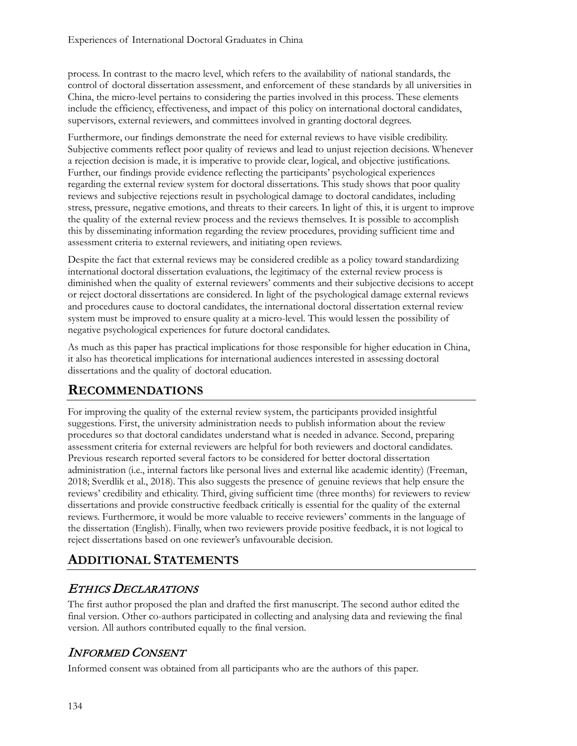process. In contrast to the macro level, which refers to the availability of national standards, the control of doctoral dissertation assessment, and enforcement of these standards by all universities in China, the micro-level pertains to considering the parties involved in this process. These elements include the efficiency, effectiveness, and impact of this policy on international doctoral candidates, supervisors, external reviewers, and committees involved in granting doctoral degrees.

Furthermore, our findings demonstrate the need for external reviews to have visible credibility. Subjective comments reflect poor quality of reviews and lead to unjust rejection decisions. Whenever a rejection decision is made, it is imperative to provide clear, logical, and objective justifications. Further, our findings provide evidence reflecting the participants' psychological experiences regarding the external review system for doctoral dissertations. This study shows that poor quality reviews and subjective rejections result in psychological damage to doctoral candidates, including stress, pressure, negative emotions, and threats to their careers. In light of this, it is urgent to improve the quality of the external review process and the reviews themselves. It is possible to accomplish this by disseminating information regarding the review procedures, providing sufficient time and assessment criteria to external reviewers, and initiating open reviews.

Despite the fact that external reviews may be considered credible as a policy toward standardizing international doctoral dissertation evaluations, the legitimacy of the external review process is diminished when the quality of external reviewers' comments and their subjective decisions to accept or reject doctoral dissertations are considered. In light of the psychological damage external reviews and procedures cause to doctoral candidates, the international doctoral dissertation external review system must be improved to ensure quality at a micro-level. This would lessen the possibility of negative psychological experiences for future doctoral candidates.

As much as this paper has practical implications for those responsible for higher education in China, it also has theoretical implications for international audiences interested in assessing doctoral dissertations and the quality of doctoral education.

# **RECOMMENDATIONS**

For improving the quality of the external review system, the participants provided insightful suggestions. First, the university administration needs to publish information about the review procedures so that doctoral candidates understand what is needed in advance. Second, preparing assessment criteria for external reviewers are helpful for both reviewers and doctoral candidates. Previous research reported several factors to be considered for better doctoral dissertation administration (i.e., internal factors like personal lives and external like academic identity) (Freeman, 2018; Sverdlik et al., 2018). This also suggests the presence of genuine reviews that help ensure the reviews' credibility and ethicality. Third, giving sufficient time (three months) for reviewers to review dissertations and provide constructive feedback critically is essential for the quality of the external reviews. Furthermore, it would be more valuable to receive reviewers' comments in the language of the dissertation (English). Finally, when two reviewers provide positive feedback, it is not logical to reject dissertations based on one reviewer's unfavourable decision.

# **ADDITIONAL STATEMENTS**

#### ETHICS DECLARATIONS

The first author proposed the plan and drafted the first manuscript. The second author edited the final version. Other co-authors participated in collecting and analysing data and reviewing the final version. All authors contributed equally to the final version.

# INFORMED CONSENT

Informed consent was obtained from all participants who are the authors of this paper.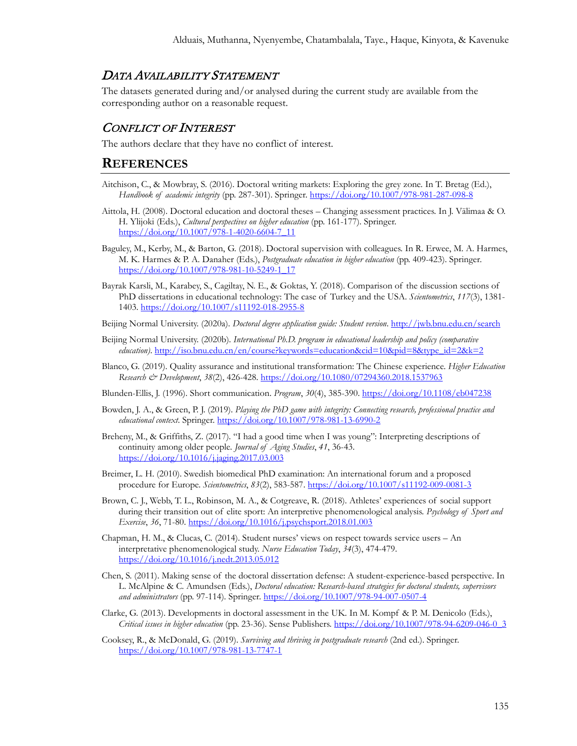#### DATA AVAILABILITY STATEMENT

The datasets generated during and/or analysed during the current study are available from the corresponding author on a reasonable request.

#### CONFLICT OF INTEREST

The authors declare that they have no conflict of interest.

#### **REFERENCES**

- Aitchison, C., & Mowbray, S. (2016). Doctoral writing markets: Exploring the grey zone. In T. Bretag (Ed.), *Handbook of academic integrity* (pp. 287-301). Springer. [https://doi.org/10.1007/978](https://doi.org/10.1007/978-981-287-098-8)-981-287-098-8
- Aittola, H. (2008). Doctoral education and doctoral theses Changing assessment practices. In J. Välimaa & O. H. Ylijoki (Eds.), *Cultural perspectives on higher education* (pp. 161-177). Springer. [https://doi.org/10.1007/978](https://doi.org/10.1007/978-1-4020-6604-7_11)-1-4020-6604-7\_11
- Baguley, M., Kerby, M., & Barton, G. (2018). Doctoral supervision with colleagues. In R. Erwee, M. A. Harmes, M. K. Harmes & P. A. Danaher (Eds.), *Postgraduate education in higher education* (pp. 409-423). Springer. [https://doi.org/10.1007/978](https://doi.org/10.1007/978-981-10-5249-1_17)-981-10-5249-1\_17
- Bayrak Karsli, M., Karabey, S., Cagiltay, N. E., & Goktas, Y. (2018). Comparison of the discussion sections of PhD dissertations in educational technology: The case of Turkey and the USA. *Scientometrics*, *117*(3), 1381- 1403. [https://doi.org/10.1007/s11192](https://doi.org/10.1007/s11192-018-2955-8)-018-2955-8
- Beijing Normal University. (2020a). *Doctoral degree application guide: Student version*.<http://jwb.bnu.edu.cn/search>
- Beijing Normal University. (2020b). *International Ph.D. program in educational leadership and policy (comparative education)*. [http://iso.bnu.edu.cn/en/course?keywords=education&cid=10&pid=8&type\\_id=2&k=2](http://iso.bnu.edu.cn/en/course?keywords=education&cid=10&pid=8&type_id=2&k=2)
- Blanco, G. (2019). Quality assurance and institutional transformation: The Chinese experience. *Higher Education Research & Development*, *38*(2), 426-428.<https://doi.org/10.1080/07294360.2018.1537963>
- Blunden-Ellis, J. (1996). Short communication. *Program*, *30*(4), 385-390.<https://doi.org/10.1108/eb047238>
- Bowden, J. A., & Green, P. J. (2019). *Playing the PhD game with integrity: Connecting research, professional practice and educational context*. Springer. [https://doi.org/10.1007/978](https://doi.org/10.1007/978-981-13-6990-2)-981-13-6990-2
- Breheny, M., & Griffiths, Z. (2017). "I had a good time when I was young": Interpreting descriptions of continuity among older people. *Journal of Aging Studies*, *41*, 36-43. <https://doi.org/10.1016/j.jaging.2017.03.003>
- Breimer, L. H. (2010). Swedish biomedical PhD examination: An international forum and a proposed procedure for Europe. *Scientometrics*, *83*(2), 583-587[. https://doi.org/10.1007/s11192](https://doi.org/10.1007/s11192-009-0081-3)-009-0081-3
- Brown, C. J., Webb, T. L., Robinson, M. A., & Cotgreave, R. (2018). Athletes' experiences of social support during their transition out of elite sport: An interpretive phenomenological analysis. *Psychology of Sport and Exercise*, *36*, 71-80.<https://doi.org/10.1016/j.psychsport.2018.01.003>
- Chapman, H. M., & Clucas, C. (2014). Student nurses' views on respect towards service users An interpretative phenomenological study. *Nurse Education Today*, *34*(3), 474-479. <https://doi.org/10.1016/j.nedt.2013.05.012>
- Chen, S. (2011). Making sense of the doctoral dissertation defense: A student-experience-based perspective. In L. McAlpine & C. Amundsen (Eds.), *Doctoral education: Research-based strategies for doctoral students, supervisors and administrators* (pp. 97-114). Springer. [https://doi.org/10.1007/978](https://doi.org/10.1007/978-94-007-0507-4)-94-007-0507-4
- Clarke, G. (2013). Developments in doctoral assessment in the UK. In M. Kompf & P. M. Denicolo (Eds.), *Critical issues in higher education* (pp. 23-36). Sense Publishers[. https://doi.org/10.1007/978](https://doi.org/10.1007/978-94-6209-046-0_3)-94-6209-046-0\_3
- Cooksey, R., & McDonald, G. (2019). *Surviving and thriving in postgraduate research* (2nd ed.). Springer. [https://doi.org/10.1007/978](https://doi.org/10.1007/978-981-13-7747-1)-981-13-7747-1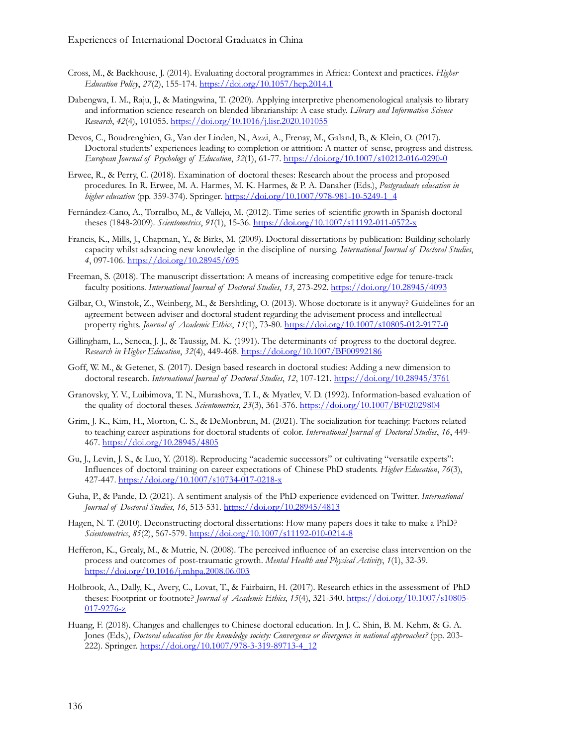- Cross, M., & Backhouse, J. (2014). Evaluating doctoral programmes in Africa: Context and practices. *Higher Education Policy*, *27*(2), 155-174.<https://doi.org/10.1057/hep.2014.1>
- Dabengwa, I. M., Raju, J., & Matingwina, T. (2020). Applying interpretive phenomenological analysis to library and information science research on blended librarianship: A case study. *Library and Information Science Research*, *42*(4), 101055.<https://doi.org/10.1016/j.lisr.2020.101055>
- Devos, C., Boudrenghien, G., Van der Linden, N., Azzi, A., Frenay, M., Galand, B., & Klein, O. (2017). Doctoral students' experiences leading to completion or attrition: A matter of sense, progress and distress. *European Journal of Psychology of Education*, *32*(1), 61-77. [https://doi.org/10.1007/s10212](https://doi.org/10.1007/s10212-016-0290-0)-016-0290-0
- Erwee, R., & Perry, C. (2018). Examination of doctoral theses: Research about the process and proposed procedures. In R. Erwee, M. A. Harmes, M. K. Harmes, & P. A. Danaher (Eds.), *Postgraduate education in higher education* (pp. 359-374). Springer[. https://doi.org/10.1007/978](https://doi.org/10.1007/978-981-10-5249-1_4)-981-10-5249-1\_4
- Fernández-Cano, A., Torralbo, M., & Vallejo, M. (2012). Time series of scientific growth in Spanish doctoral theses (1848-2009). *Scientometrics*, *91*(1), 15-36. [https://doi.org/10.1007/s11192](https://doi.org/10.1007/s11192-011-0572-x)-011-0572-x
- Francis, K., Mills, J., Chapman, Y., & Birks, M. (2009). Doctoral dissertations by publication: Building scholarly capacity whilst advancing new knowledge in the discipline of nursing. *International Journal of Doctoral Studies*, *4*, 097-106.<https://doi.org/10.28945/695>
- Freeman, S. (2018). The manuscript dissertation: A means of increasing competitive edge for tenure-track faculty positions. *International Journal of Doctoral Studies*, *13*, 273-292.<https://doi.org/10.28945/4093>
- Gilbar, O., Winstok, Z., Weinberg, M., & Bershtling, O. (2013). Whose doctorate is it anyway? Guidelines for an agreement between adviser and doctoral student regarding the advisement process and intellectual property rights. *Journal of Academic Ethics*, *11*(1), 73-80. [https://doi.org/10.1007/s10805](https://doi.org/10.1007/s10805-012-9177-0)-012-9177-0
- Gillingham, L., Seneca, J. J., & Taussig, M. K. (1991). The determinants of progress to the doctoral degree. *Research in Higher Education*, *32*(4), 449-468.<https://doi.org/10.1007/BF00992186>
- Goff, W. M., & Getenet, S. (2017). Design based research in doctoral studies: Adding a new dimension to doctoral research. *International Journal of Doctoral Studies*, *12*, 107-121. <https://doi.org/10.28945/3761>
- Granovsky, Y. V., Luibimova, T. N., Murashova, T. I., & Myatlev, V. D. (1992). Information-based evaluation of the quality of doctoral theses. *Scientometrics*, *23*(3), 361-376.<https://doi.org/10.1007/BF02029804>
- Grim, J. K., Kim, H., Morton, C. S., & DeMonbrun, M. (2021). The socialization for teaching: Factors related to teaching career aspirations for doctoral students of color. *International Journal of Doctoral Studies*, *16*, 449- 467[. https://doi.org/10.28945/4805](https://doi.org/10.28945/4805)
- Gu, J., Levin, J. S., & Luo, Y. (2018). Reproducing "academic successors" or cultivating "versatile experts": Influences of doctoral training on career expectations of Chinese PhD students. *Higher Education*, *76*(3), 427-447. [https://doi.org/10.1007/s10734](https://doi.org/10.1007/s10734-017-0218-x)-017-0218-x
- Guha, P., & Pande, D. (2021). A sentiment analysis of the PhD experience evidenced on Twitter. *International Journal of Doctoral Studies*, *16*, 513-531. <https://doi.org/10.28945/4813>
- Hagen, N. T. (2010). Deconstructing doctoral dissertations: How many papers does it take to make a PhD? *Scientometrics*, *85*(2), 567-579. [https://doi.org/10.1007/s11192](https://doi.org/10.1007/s11192-010-0214-8)-010-0214-8
- Hefferon, K., Grealy, M., & Mutrie, N. (2008). The perceived influence of an exercise class intervention on the process and outcomes of post-traumatic growth. *Mental Health and Physical Activity*, *1*(1), 32-39. <https://doi.org/10.1016/j.mhpa.2008.06.003>
- Holbrook, A., Dally, K., Avery, C., Lovat, T., & Fairbairn, H. (2017). Research ethics in the assessment of PhD theses: Footprint or footnote? *Journal of Academic Ethics*, *15*(4), 321-340. [https://doi.org/10.1007/s10805](https://doi.org/10.1007/s10805-017-9276-z)- 017-[9276](https://doi.org/10.1007/s10805-017-9276-z)-z
- Huang, F. (2018). Changes and challenges to Chinese doctoral education. In J. C. Shin, B. M. Kehm, & G. A. Jones (Eds.), *Doctoral education for the knowledge society: Convergence or divergence in national approaches?* (pp. 203- 222). Springer[. https://doi.org/10.1007/978](https://doi.org/10.1007/978-3-319-89713-4_12)-3-319-89713-4\_12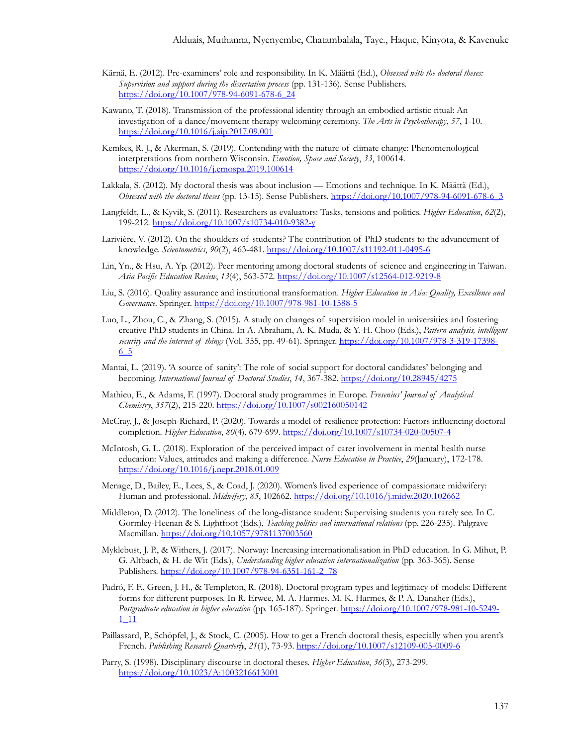- Kärnä, E. (2012). Pre-examiners' role and responsibility. In K. Määttä (Ed.), *Obsessed with the doctoral theses: Supervision and support during the dissertation process* (pp. 131-136). Sense Publishers. [https://doi.org/10.1007/978](https://doi.org/10.1007/978-94-6091-678-6_24)-94-6091-678-6\_24
- Kawano, T. (2018). Transmission of the professional identity through an embodied artistic ritual: An investigation of a dance/movement therapy welcoming ceremony. *The Arts in Psychotherapy*, *57*, 1-10. <https://doi.org/10.1016/j.aip.2017.09.001>
- Kemkes, R. J., & Akerman, S. (2019). Contending with the nature of climate change: Phenomenological interpretations from northern Wisconsin. *Emotion, Space and Society*, *33*, 100614. <https://doi.org/10.1016/j.emospa.2019.100614>
- Lakkala, S. (2012). My doctoral thesis was about inclusion Emotions and technique. In K. Määttä (Ed.), *Obsessed with the doctoral theses* (pp. 13-15). Sense Publishers. [https://doi.org/10.1007/978](https://doi.org/10.1007/978-94-6091-678-6_3)-94-6091-678-6\_3
- Langfeldt, L., & Kyvik, S. (2011). Researchers as evaluators: Tasks, tensions and politics. *Higher Education*, *62*(2), 199-212. [https://doi.org/10.1007/s10734](https://doi.org/10.1007/s10734-010-9382-y)-010-9382-y
- Larivière, V. (2012). On the shoulders of students? The contribution of PhD students to the advancement of knowledge. *Scientometrics*, *90*(2), 463-481. [https://doi.org/10.1007/s11192](https://doi.org/10.1007/s11192-011-0495-6)-011-0495-6
- Lin, Yn., & Hsu, A. Yp. (2012). Peer mentoring among doctoral students of science and engineering in Taiwan. *Asia Pacific Education Review*, *13*(4), 563-572. [https://doi.org/10.1007/s12564](https://doi.org/10.1007/s12564-012-9219-8)-012-9219-8
- Liu, S. (2016). Quality assurance and institutional transformation. *Higher Education in Asia: Quality, Excellence and Governance*. Springer. [https://doi.org/10.1007/978](https://doi.org/10.1007/978-981-10-1588-5)-981-10-1588-5
- Luo, L., Zhou, C., & Zhang, S. (2015). A study on changes of supervision model in universities and fostering creative PhD students in China. In A. Abraham, A. K. Muda, & Y.-H. Choo (Eds.), *Pattern analysis, intelligent security and the internet of things* (Vol. 355, pp. 49-61). Springer. [https://doi.org/10.1007/978](https://doi.org/10.1007/978-3-319-17398-6_5)-3-319-17398- [6\\_5](https://doi.org/10.1007/978-3-319-17398-6_5)
- Mantai, L. (2019). 'A source of sanity': The role of social support for doctoral candidates' belonging and becoming. International Journal of Doctoral Studies, 14, 367-382. <https://doi.org/10.28945/4275>
- Mathieu, E., & Adams, F. (1997). Doctoral study programmes in Europe. *Fresenius' Journal of Analytical Chemistry*, *357*(2), 215-220.<https://doi.org/10.1007/s002160050142>
- McCray, J., & Joseph-Richard, P. (2020). Towards a model of resilience protection: Factors influencing doctoral completion. *Higher Education*, *80*(4), 679-699. [https://doi.org/10.1007/s10734](https://doi.org/10.1007/s10734-020-00507-4)-020-00507-4
- McIntosh, G. L. (2018). Exploration of the perceived impact of carer involvement in mental health nurse education: Values, attitudes and making a difference. *Nurse Education in Practice*, *29*(January), 172-178. <https://doi.org/10.1016/j.nepr.2018.01.009>
- Menage, D., Bailey, E., Lees, S., & Coad, J. (2020). Women's lived experience of compassionate midwifery: Human and professional. *Midwifery*, *85*, 102662.<https://doi.org/10.1016/j.midw.2020.102662>
- Middleton, D. (2012). The loneliness of the long-distance student: Supervising students you rarely see. In C. Gormley-Heenan & S. Lightfoot (Eds.), *Teaching politics and international relations* (pp. 226-235). Palgrave Macmillan.<https://doi.org/10.1057/9781137003560>
- Myklebust, J. P., & Withers, J. (2017). Norway: Increasing internationalisation in PhD education. In G. Mihut, P. G. Altbach, & H. de Wit (Eds.), *Understanding higher education internationalization* (pp. 363-365). Sense Publishers. [https://doi.org/10.1007/978](https://doi.org/10.1007/978-94-6351-161-2_78)-94-6351-161-2\_78
- Padró, F. F., Green, J. H., & Templeton, R. (2018). Doctoral program types and legitimacy of models: Different forms for different purposes. In R. Erwee, M. A. Harmes, M. K. Harmes, & P. A. Danaher (Eds.), *Postgraduate education in higher education* (pp. 165-187). Springer[. https://doi.org/10.1007/978](https://doi.org/10.1007/978-981-10-5249-1_11)-981-10-5249- [1\\_11](https://doi.org/10.1007/978-981-10-5249-1_11)
- Paillassard, P., Schöpfel, J., & Stock, C. (2005). How to get a French doctoral thesis, especially when you arent's French. *Publishing Research Quarterly*, *21*(1), 73-93. [https://doi.org/10.1007/s12109](https://doi.org/10.1007/s12109-005-0009-6)-005-0009-6
- Parry, S. (1998). Disciplinary discourse in doctoral theses. *Higher Education*, *36*(3), 273-299. <https://doi.org/10.1023/A:1003216613001>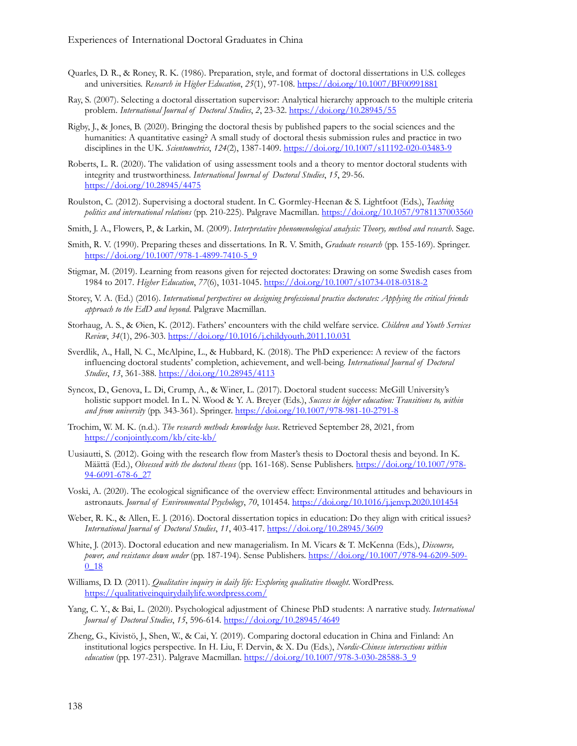- Quarles, D. R., & Roney, R. K. (1986). Preparation, style, and format of doctoral dissertations in U.S. colleges and universities. *Research in Higher Education*, *25*(1), 97-108[. https://doi.org/10.1007/BF00991881](https://doi.org/10.1007/BF00991881)
- Ray, S. (2007). Selecting a doctoral dissertation supervisor: Analytical hierarchy approach to the multiple criteria problem. *International Journal of Doctoral Studies*, *2*, 23-32.<https://doi.org/10.28945/55>
- Rigby, J., & Jones, B. (2020). Bringing the doctoral thesis by published papers to the social sciences and the humanities: A quantitative easing? A small study of doctoral thesis submission rules and practice in two disciplines in the UK. *Scientometrics*, *124*(2), 1387-1409. [https://doi.org/10.1007/s11192](https://doi.org/10.1007/s11192-020-03483-9)-020-03483-9
- Roberts, L. R. (2020). The validation of using assessment tools and a theory to mentor doctoral students with integrity and trustworthiness. *International Journal of Doctoral Studies*, *15*, 29-56. <https://doi.org/10.28945/4475>
- Roulston, C. (2012). Supervising a doctoral student. In C. Gormley-Heenan & S. Lightfoot (Eds.), *Teaching politics and international relations* (pp. 210-225). Palgrave Macmillan.<https://doi.org/10.1057/9781137003560>
- Smith, J. A., Flowers, P., & Larkin, M. (2009). *Interpretative phenomenological analysis: Theory, method and research*. Sage.
- Smith, R. V. (1990). Preparing theses and dissertations. In R. V. Smith, *Graduate research* (pp. 155-169). Springer. [https://doi.org/10.1007/978](https://doi.org/10.1007/978-1-4899-7410-5_9)-1-4899-7410-5\_9
- Stigmar, M. (2019). Learning from reasons given for rejected doctorates: Drawing on some Swedish cases from 1984 to 2017. *Higher Education*, *77*(6), 1031-1045. [https://doi.org/10.1007/s10734](https://doi.org/10.1007/s10734-018-0318-2)-018-0318-2
- Storey, V. A. (Ed.) (2016). *International perspectives on designing professional practice doctorates: Applying the critical friends approach to the EdD and beyond*. Palgrave Macmillan.
- Storhaug, A. S., & Øien, K. (2012). Fathers' encounters with the child welfare service. *Children and Youth Services Review*, *34*(1), 296-303.<https://doi.org/10.1016/j.childyouth.2011.10.031>
- Sverdlik, A., Hall, N. C., McAlpine, L., & Hubbard, K. (2018). The PhD experience: A review of the factors influencing doctoral students' completion, achievement, and well-being. *International Journal of Doctoral Studies*, *13*, 361-388[. https://doi.org/10.28945/4113](https://doi.org/10.28945/4113)
- Syncox, D., Genova, L. Di, Crump, A., & Winer, L. (2017). Doctoral student success: McGill University's holistic support model. In L. N. Wood & Y. A. Breyer (Eds.), *Success in higher education: Transitions to, within and from university* (pp. 343-361). Springer. [https://doi.org/10.1007/978](https://doi.org/10.1007/978-981-10-2791-8)-981-10-2791-8
- Trochim, W. M. K. (n.d.). *The research methods knowledge base*. Retrieved September 28, 2021, from [https://conjointly.com/kb/cite](https://conjointly.com/kb/cite-kb/)-kb/
- Uusiautti, S. (2012). Going with the research flow from Master's thesis to Doctoral thesis and beyond. In K. Määttä (Ed.), *Obsessed with the doctoral theses* (pp. 161-168). Sense Publishers. [https://doi.org/10.1007/978](https://doi.org/10.1007/978-94-6091-678-6_27)- 94-6091-678-[6\\_27](https://doi.org/10.1007/978-94-6091-678-6_27)
- Voski, A. (2020). The ecological significance of the overview effect: Environmental attitudes and behaviours in astronauts. *Journal of Environmental Psychology*, *70*, 101454.<https://doi.org/10.1016/j.jenvp.2020.101454>
- Weber, R. K., & Allen, E. J. (2016). Doctoral dissertation topics in education: Do they align with critical issues? *International Journal of Doctoral Studies*, *11*, 403-417.<https://doi.org/10.28945/3609>
- White, J. (2013). Doctoral education and new managerialism. In M. Vicars & T. McKenna (Eds.), *Discourse, power, and resistance down under* (pp. 187-194). Sense Publishers. [https://doi.org/10.1007/978](https://doi.org/10.1007/978-94-6209-509-0_18)-94-6209-509- [0\\_18](https://doi.org/10.1007/978-94-6209-509-0_18)
- Williams, D. D. (2011). *Qualitative inquiry in daily life: Exploring qualitative thought*. WordPress. <https://qualitativeinquirydailylife.wordpress.com/>
- Yang, C. Y., & Bai, L. (2020). Psychological adjustment of Chinese PhD students: A narrative study. *International Journal of Doctoral Studies*, *15*, 596-614.<https://doi.org/10.28945/4649>
- Zheng, G., Kivistö, J., Shen, W., & Cai, Y. (2019). Comparing doctoral education in China and Finland: An institutional logics perspective. In H. Liu, F. Dervin, & X. Du (Eds.), *Nordic-Chinese intersections within education* (pp. 197-231). Palgrave Macmillan. [https://doi.org/10.1007/978](https://doi.org/10.1007/978-3-030-28588-3_9)-3-030-28588-3\_9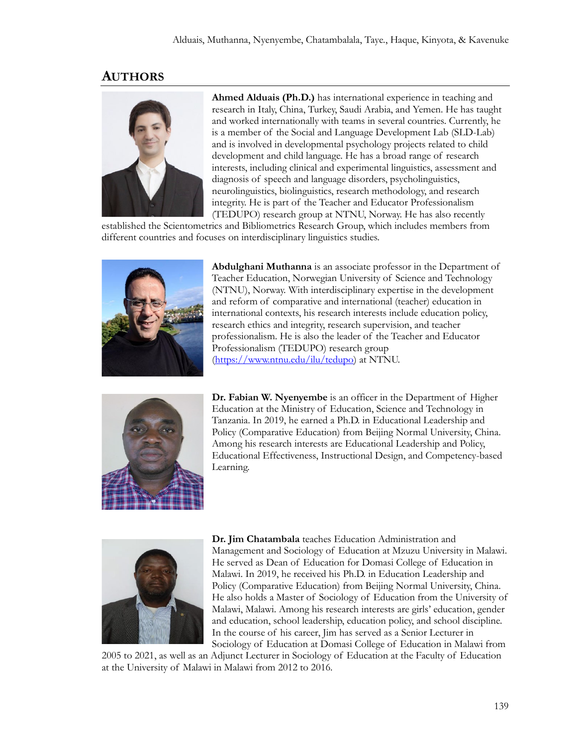#### **AUTHORS**



**Ahmed Alduais (Ph.D.)** has international experience in teaching and research in Italy, China, Turkey, Saudi Arabia, and Yemen. He has taught and worked internationally with teams in several countries. Currently, he is a member of the Social and Language Development Lab (SLD-Lab) and is involved in developmental psychology projects related to child development and child language. He has a broad range of research interests, including clinical and experimental linguistics, assessment and diagnosis of speech and language disorders, psycholinguistics, neurolinguistics, biolinguistics, research methodology, and research integrity. He is part of the Teacher and Educator Professionalism (TEDUPO) research group at NTNU, Norway. He has also recently

established the Scientometrics and Bibliometrics Research Group, which includes members from different countries and focuses on interdisciplinary linguistics studies.



**Abdulghani Muthanna** is an associate professor in the Department of Teacher Education, Norwegian University of Science and Technology (NTNU), Norway. With interdisciplinary expertise in the development and reform of comparative and international (teacher) education in international contexts, his research interests include education policy, research ethics and integrity, research supervision, and teacher professionalism. He is also the leader of the Teacher and Educator Professionalism (TEDUPO) research group [\(https://www.ntnu.edu/ilu/tedupo\)](https://www.ntnu.edu/ilu/tedupo) at NTNU.



**Dr. Fabian W. Nyenyembe** is an officer in the Department of Higher Education at the Ministry of Education, Science and Technology in Tanzania. In 2019, he earned a Ph.D. in Educational Leadership and Policy (Comparative Education) from Beijing Normal University, China. Among his research interests are Educational Leadership and Policy, Educational Effectiveness, Instructional Design, and Competency-based Learning.



**Dr. Jim Chatambala** teaches Education Administration and Management and Sociology of Education at Mzuzu University in Malawi. He served as Dean of Education for Domasi College of Education in Malawi. In 2019, he received his Ph.D. in Education Leadership and Policy (Comparative Education) from Beijing Normal University, China. He also holds a Master of Sociology of Education from the University of Malawi, Malawi. Among his research interests are girls' education, gender and education, school leadership, education policy, and school discipline. In the course of his career, Jim has served as a Senior Lecturer in Sociology of Education at Domasi College of Education in Malawi from

2005 to 2021, as well as an Adjunct Lecturer in Sociology of Education at the Faculty of Education at the University of Malawi in Malawi from 2012 to 2016.